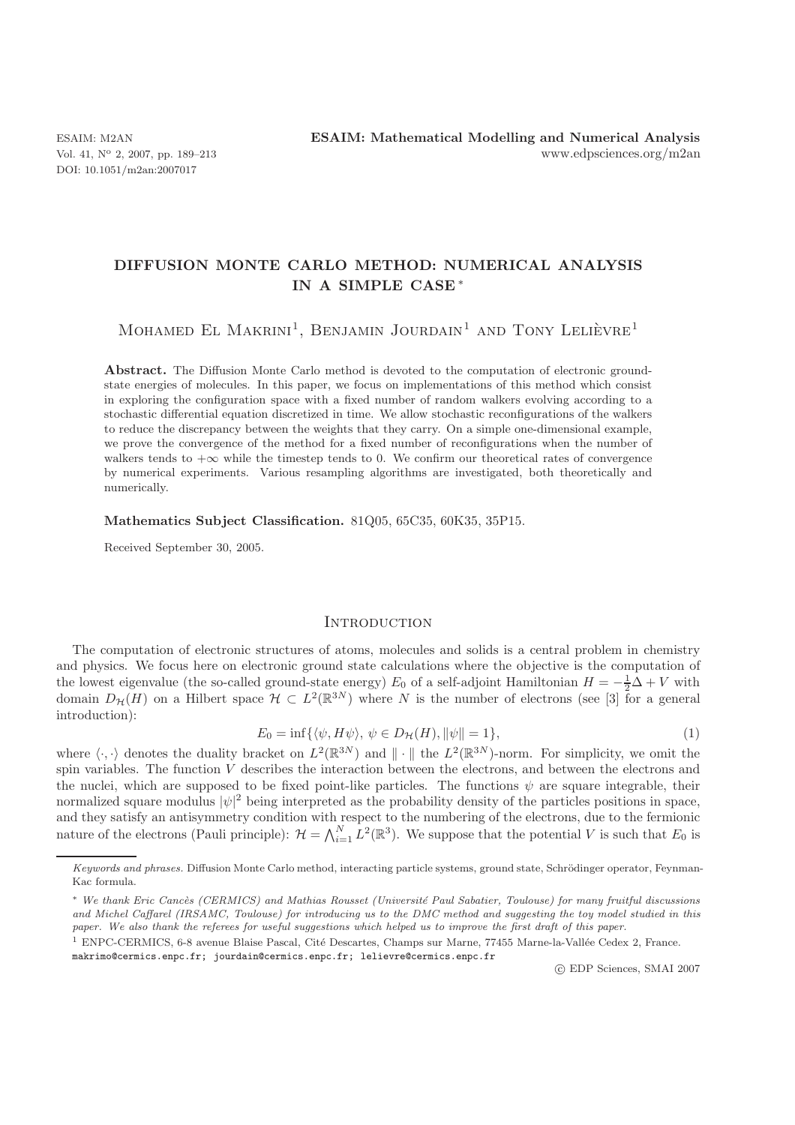DOI: 10.1051/m2an:2007017

# **DIFFUSION MONTE CARLO METHOD: NUMERICAL ANALYSIS IN A SIMPLE CASE** <sup>∗</sup>

MOHAMED EL MAKRINI<sup>1</sup>, BENJAMIN JOURDAIN<sup>1</sup> AND TONY LELIÈVRE<sup>1</sup>

**Abstract.** The Diffusion Monte Carlo method is devoted to the computation of electronic groundstate energies of molecules. In this paper, we focus on implementations of this method which consist in exploring the configuration space with a fixed number of random walkers evolving according to a stochastic differential equation discretized in time. We allow stochastic reconfigurations of the walkers to reduce the discrepancy between the weights that they carry. On a simple one-dimensional example, we prove the convergence of the method for a fixed number of reconfigurations when the number of walkers tends to  $+\infty$  while the timestep tends to 0. We confirm our theoretical rates of convergence by numerical experiments. Various resampling algorithms are investigated, both theoretically and numerically.

#### **Mathematics Subject Classification.** 81Q05, 65C35, 60K35, 35P15.

Received September 30, 2005.

### **INTRODUCTION**

The computation of electronic structures of atoms, molecules and solids is a central problem in chemistry and physics. We focus here on electronic ground state calculations where the objective is the computation of the lowest eigenvalue (the so-called ground-state energy)  $E_0$  of a self-adjoint Hamiltonian  $H = -\frac{1}{2}\hat{\Delta} + V$  with domain  $D_{\gamma}(H)$  on a Hilbert group  $\mathcal{H} \subset L^2(\mathbb{R}^3)$  where N is the number of electrons (see [2] domain  $D_{\mathcal{H}}(H)$  on a Hilbert space  $\mathcal{H} \subset L^2(\mathbb{R}^{3N})$  where N is the number of electrons (see [3] for a general introduction). introduction):

$$
E_0 = \inf\{\langle \psi, H\psi \rangle, \psi \in D_{\mathcal{H}}(H), \|\psi\| = 1\},\tag{1}
$$

 $E_0 = \inf \{ \langle \psi, H\psi \rangle, \psi \in D_{\mathcal{H}}(H), ||\psi|| = 1 \},$  (1)<br>where  $\langle \cdot, \cdot \rangle$  denotes the duality bracket on  $L^2(\mathbb{R}^{3N})$  and  $|| \cdot ||$  the  $L^2(\mathbb{R}^{3N})$ -norm. For simplicity, we omit the<br>spin variables. The function *V* describe spin variables. The function  $\tilde{V}$  describes the interaction between the electrons, and between the electrons and the nuclei, which are supposed to be fixed point-like particles. The functions  $\psi$  are square integrable, their normalized square modulus  $|\psi|^2$  being interpreted as the probability density of the particles positions in space, and they satisfy an antisymmetry condition with respect to the numbering of the electrons, due to the fermionic nature of the electrons (Pauli principle):  $\mathcal{H} = \bigwedge_{i=1}^{N} L^2(\mathbb{R}^3)$ . We suppose that the potential V is such that  $E_0$  is

makrimo@cermics.enpc.fr; jourdain@cermics.enpc.fr; lelievre@cermics.enpc.fr

-c EDP Sciences, SMAI 2007

Keywords and phrases. Diffusion Monte Carlo method, interacting particle systems, ground state, Schrödinger operator, Feynman-Kac formula.

<sup>\*</sup> We thank Eric Cancès (CERMICS) and Mathias Rousset (Université Paul Sabatier, Toulouse) for many fruitful discussions and Michel Caffarel (IRSAMC, Toulouse) for introducing us to the DMC method and suggesting the toy model studied in this paper. We also thank the referees for useful suggestions which helped us to improve the first draft of this paper.

<sup>&</sup>lt;sup>1</sup> ENPC-CERMICS, 6-8 avenue Blaise Pascal, Cité Descartes, Champs sur Marne, 77455 Marne-la-Vallée Cedex 2, France.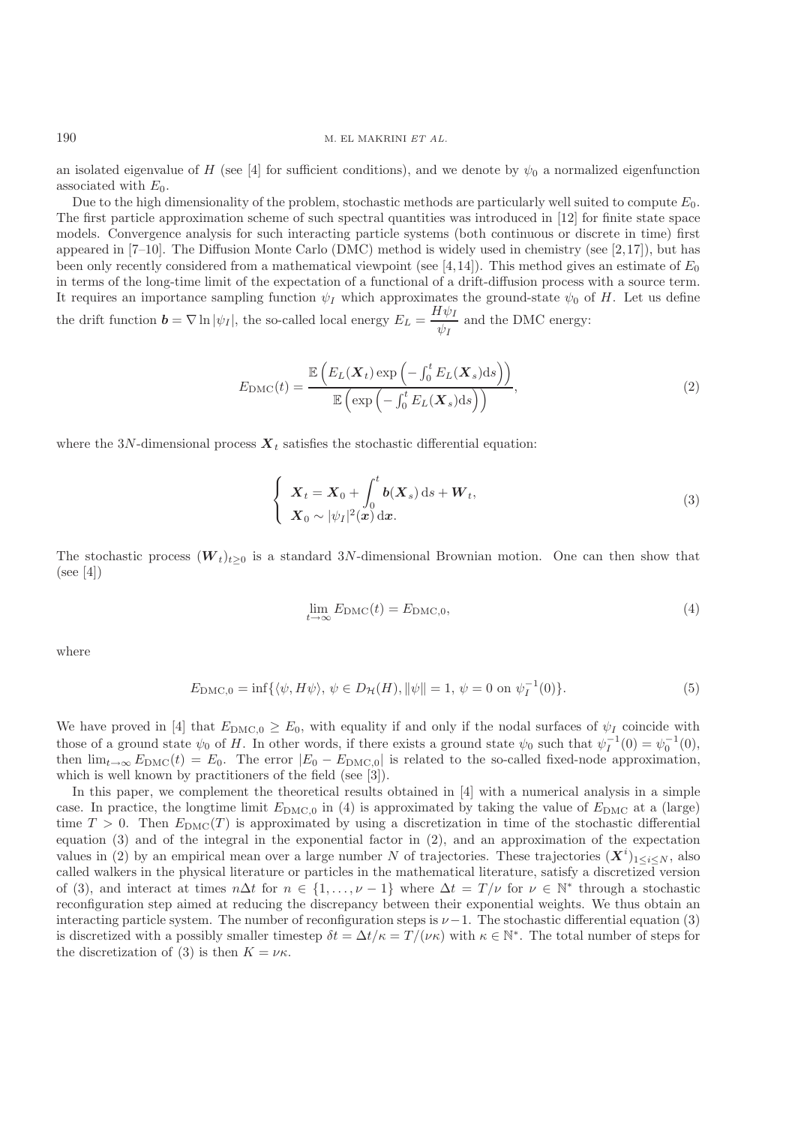an isolated eigenvalue of H (see [4] for sufficient conditions), and we denote by  $\psi_0$  a normalized eigenfunction associated with  $E_0$ .

Due to the high dimensionality of the problem, stochastic methods are particularly well suited to compute  $E_0$ . The first particle approximation scheme of such spectral quantities was introduced in [12] for finite state space models. Convergence analysis for such interacting particle systems (both continuous or discrete in time) first appeared in  $[7-10]$ . The Diffusion Monte Carlo (DMC) method is widely used in chemistry (see [2,17]), but has been only recently considered from a mathematical viewpoint (see [4,14]). This method gives an estimate of  $E_0$ in terms of the long-time limit of the expectation of a functional of a drift-diffusion process with a source term. It requires an importance sampling function  $\psi_I$  which approximates the ground-state  $\psi_0$  of H. Let us define the drift function  $\mathbf{b} = \nabla \ln |\psi_I|$ , the so-called local energy  $E_L = \frac{H \psi_I}{\psi_I}$ and the DMC energy:

$$
E_{\rm DMC}(t) = \frac{\mathbb{E}\left(E_L(\boldsymbol{X}_t)\exp\left(-\int_0^t E_L(\boldsymbol{X}_s)\mathrm{d}s\right)\right)}{\mathbb{E}\left(\exp\left(-\int_0^t E_L(\boldsymbol{X}_s)\mathrm{d}s\right)\right)},\tag{2}
$$

where the 3N-dimensional process  $\boldsymbol{X}_t$  satisfies the stochastic differential equation:

$$
\begin{cases}\n\boldsymbol{X}_t = \boldsymbol{X}_0 + \int_0^t \boldsymbol{b}(\boldsymbol{X}_s) \, \mathrm{d}s + \boldsymbol{W}_t, \\
\boldsymbol{X}_0 \sim |\psi_I|^2(\boldsymbol{x}) \, \mathrm{d}\boldsymbol{x}.\n\end{cases} \tag{3}
$$

The stochastic process  $(W_t)_{t\geq 0}$  is a standard 3N-dimensional Brownian motion. One can then show that (see [4])

$$
\lim_{t \to \infty} E_{\text{DMC}}(t) = E_{\text{DMC},0},\tag{4}
$$

where

$$
E_{\text{DMC},0} = \inf \{ \langle \psi, H\psi \rangle, \, \psi \in D_{\mathcal{H}}(H), \|\psi\| = 1, \, \psi = 0 \text{ on } \psi_I^{-1}(0) \}. \tag{5}
$$

We have proved in [4] that  $E_{\text{DMC,0}} \geq E_0$ , with equality if and only if the nodal surfaces of  $\psi_I$  coincide with those of a ground state  $\psi_0$  of H. In other words, if there exists a ground state  $\psi_0$  such that  $\psi_I^{-1}(0) = \psi_0^{-1}(0)$ ,<br>then  $\lim_{h \to 0} E_{\text{DMG}}(t) = E_0$ . The error  $|E_0 - E_{\text{DMG}}|$  is related to the so-called fixed-node then  $\lim_{t\to\infty} E_{\text{DMC}}(t) = E_0$ . The error  $|E_0 - E_{\text{DMC},0}|$  is related to the so-called fixed-node approximation, which is well known by practitioners of the field (see [3]).

In this paper, we complement the theoretical results obtained in [4] with a numerical analysis in a simple case. In practice, the longtime limit  $E_{\text{DMC},0}$  in (4) is approximated by taking the value of  $E_{\text{DMC}}$  at a (large) time  $T > 0$ . Then  $E_{\text{DMC}}(T)$  is approximated by using a discretization in time of the stochastic differential equation (3) and of the integral in the exponential factor in (2), and an approximation of the expectation values in (2) by an empirical mean over a large number N of trajectories. These trajectories  $(X^{i})_{1\leq i\leq N}$ , also<br>called walkers in the physical literature or particles in the mathematical literature satisfy a discreti called walkers in the physical literature or particles in the mathematical literature, satisfy a discretized version of (3), and interact at times  $n\Delta t$  for  $n \in \{1,\ldots,\nu-1\}$  where  $\Delta t = T/\nu$  for  $\nu \in \mathbb{N}^*$  through a stochastic reconfiguration step aimed at reducing the discrepancy between their exponential weights. We thus obtain an interacting particle system. The number of reconfiguration steps is  $\nu-1$ . The stochastic differential equation (3) is discretized with a possibly smaller timestep  $\delta t = \Delta t / \kappa = T / (\nu \kappa)$  with  $\kappa \in \mathbb{N}^*$ . The total number of steps for the discretization of (3) is then  $K = \nu \kappa$ .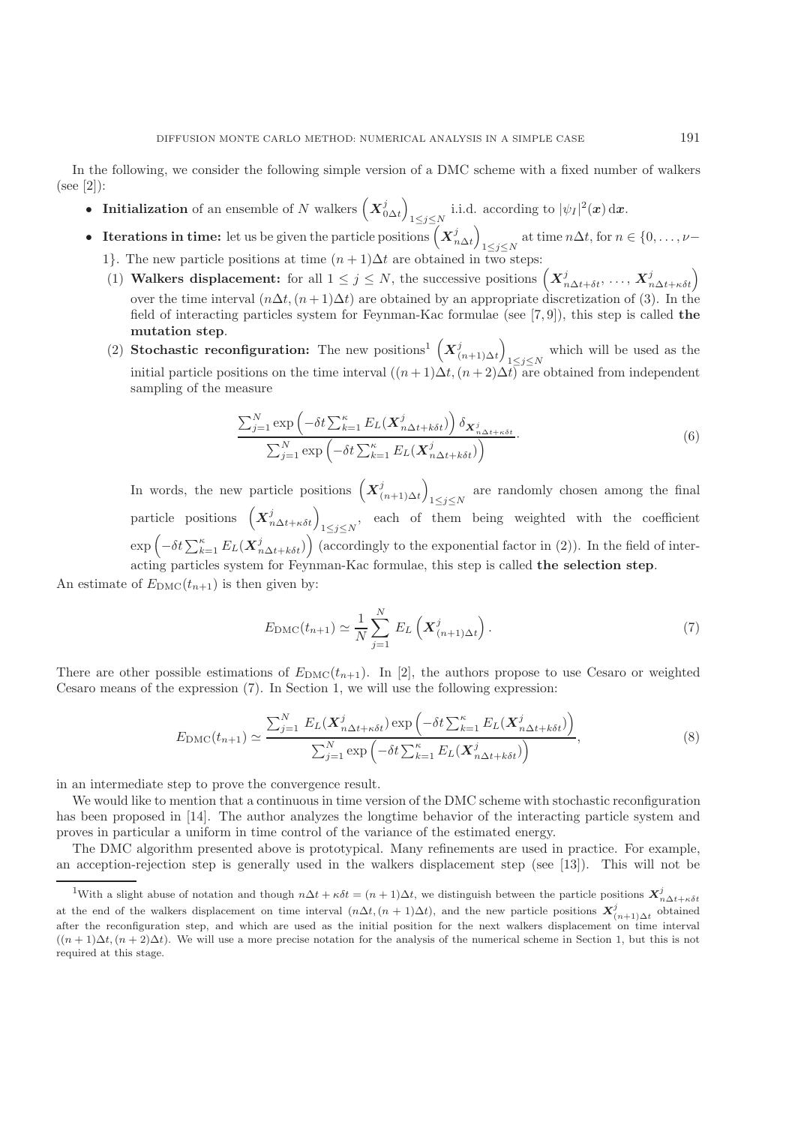In the following, we consider the following simple version of a DMC scheme with a fixed number of walkers (see [2]):

- **Initialization** of an ensemble of N walkers  $(X_{0\Delta t}^j)$  $\lim_{1 \le j \le N}$  i.i.d. according to  $|\psi_I|^2(x) dx$ .
- **Iterations in time:** let us be given the particle positions  $(X_{n\Delta t}^j)$ at time  $n\Delta t$ , for  $n \in \{0, ..., \nu-1\leq j\leq N\}$ 
	- 1}. The new particle positions at time  $(n+1)\Delta t$  are obtained in two steps:
	- (1) **Walkers displacement:** for all  $1 \leq j \leq N$ , the successive positions  $(X_{n\Delta t+\delta t}^j, ..., X_{n\Delta t+\kappa \delta t}^j)$ over the time interval  $(n\Delta t, (n+1)\Delta t)$  are obtained by an appropriate discretization of (3). In the field of interacting particles system for Feynman-Kac formulae (see [7, 9]), this step is called **the mutation step**.
	- (2) **Stochastic reconfiguration:** The new positions<sup>1</sup>  $(X_{(n+1)\Delta t}^j)$ which will be used as the<br> $\frac{1 \leq j \leq N}{f}$  are obtained from independent initial particle positions on the time interval  $((n+1)\Delta t,(n+2)\Delta t)$  are obtained from independent sampling of the measure

$$
\frac{\sum_{j=1}^{N} \exp\left(-\delta t \sum_{k=1}^{\kappa} E_L(\boldsymbol{X}_{n\Delta t+k\delta t}^j)\right) \delta_{\boldsymbol{X}_{n\Delta t+k\delta t}^j}}{\sum_{j=1}^{N} \exp\left(-\delta t \sum_{k=1}^{\kappa} E_L(\boldsymbol{X}_{n\Delta t+k\delta t}^j)\right)}.
$$
\n(6)

In words, the new particle positions  $(X_{(n+1)\Delta t}^j)$ are randomly chosen among the final  $1\leq j\leq N$ particle positions  $(X_{n\Delta t+\kappa\delta t}^j)_{1\leq j\leq N}$ , each of them being weighted with the coefficient  $\exp\left(-\delta t \sum_{k=1}^{\kappa} E_L(\mathbf{X}_{n\Delta t+k\delta t}^j)\right)$  (accordingly to the exponential factor in (2)). In the field of interacting particles system for Feynman-Kac formulae, this step is called **the selection step**.

An estimate of  $E_{\text{DMC}}(t_{n+1})$  is then given by:

$$
E_{\rm DMC}(t_{n+1}) \simeq \frac{1}{N} \sum_{j=1}^{N} E_L\left(\boldsymbol{X}_{(n+1)\Delta t}^j\right). \tag{7}
$$

There are other possible estimations of  $E_{\text{DMC}}(t_{n+1})$ . In [2], the authors propose to use Cesaro or weighted Cesaro means of the expression (7). In Section 1, we will use the following expression:

$$
E_{\text{DMC}}(t_{n+1}) \simeq \frac{\sum_{j=1}^{N} E_L(\mathbf{X}_{n\Delta t + \kappa \delta t}^j) \exp\left(-\delta t \sum_{k=1}^{\kappa} E_L(\mathbf{X}_{n\Delta t + k\delta t}^j)\right)}{\sum_{j=1}^{N} \exp\left(-\delta t \sum_{k=1}^{\kappa} E_L(\mathbf{X}_{n\Delta t + k\delta t}^j)\right)},
$$
(8)

in an intermediate step to prove the convergence result.

We would like to mention that a continuous in time version of the DMC scheme with stochastic reconfiguration has been proposed in [14]. The author analyzes the longtime behavior of the interacting particle system and proves in particular a uniform in time control of the variance of the estimated energy.

The DMC algorithm presented above is prototypical. Many refinements are used in practice. For example, an acception-rejection step is generally used in the walkers displacement step (see [13]). This will not be

<sup>&</sup>lt;sup>1</sup>With a slight abuse of notation and though  $n\Delta t + \kappa \delta t = (n+1)\Delta t$ , we distinguish between the particle positions  $\mathbf{X}_{n\Delta t + \kappa \delta t}^j$ at the end of the walkers displacement on time interval  $(n\Delta t, (n+1)\Delta t)$ , and the new particle positions  $\mathbf{X}_{(n+1)\Delta t}^j$  obtained after the reconfiguration step, and which are used as the initial position for the next walkers displacement on time interval  $((n+1)\Delta t, (n+2)\Delta t)$ . We will use a more precise notation for the analysis of the numerical scheme in Section 1, but this is not required at this stage.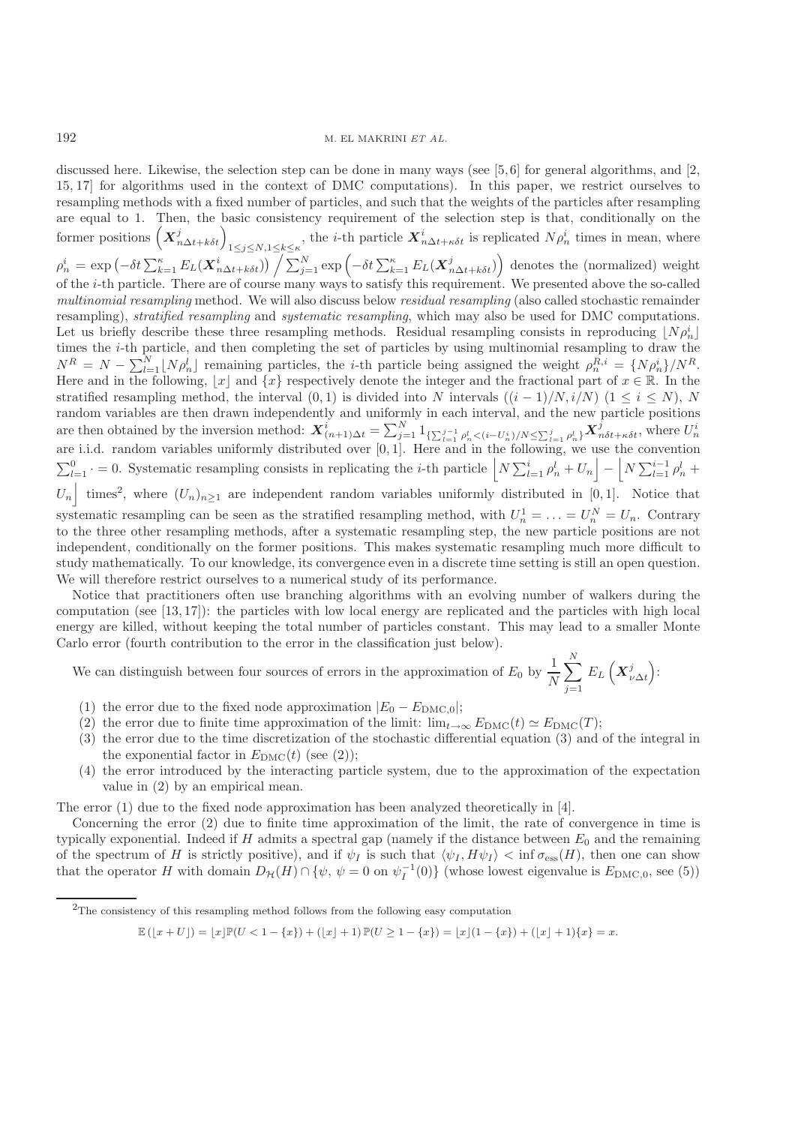discussed here. Likewise, the selection step can be done in many ways (see [5,6] for general algorithms, and [2, 15, 17] for algorithms used in the context of DMC computations). In this paper, we restrict ourselves to resampling methods with a fixed number of particles, and such that the weights of the particles after resampling are equal to 1. Then, the basic consistency requirement of the selection step is that, conditionally on the former positions  $(X_{n\Delta t+k\delta t}^j)_{1\leq j\leq N,1\leq k\leq \kappa}$ , the *i*-th particle  $X_{n\Delta t+\kappa\delta t}^i$  is replicated  $N\rho_n^i$  times in mean, where  $\rho_n^i = \exp\left(-\delta t \sum_{k=1}^{\kappa} E_L(\boldsymbol{X}_{n\Delta t+k\delta t}^i)\right) \Big/ \sum_{j=1}^N \exp\left(-\delta t \sum_{k=1}^{\kappa} E_L(\boldsymbol{X}_{n\Delta t+k\delta t}^j)\right)$  denotes the (normalized) weight of the i-th particle. There are of course many ways to satisfy this requirement. We presented above the so-called *multinomial resampling* method. We will also discuss below *residual resampling* (also called stochastic remainder resampling), *stratified resampling* and *systematic resampling*, which may also be used for DMC computations. Let us briefly describe these three resampling methods. Residual resampling consists in reproducing  $[N\rho_n^i]$ <br>times the *i*-th particle, and then completing the set of particles by using multipomial resampling to draw the times the i-th particle, and then completing the set of particles by using multinomial resampling to draw the  $N^R = N - \sum_{l=1}^N [N \rho_n^l]$  remaining particles, the *i*-th particle being assigned the weight  $\rho_n^{R,i} = \{N \rho_n^i\}/N^R$ .<br>Here and in the following  $|x|$  and  $\{x\}$  respectively denote the integer and the fractional part of Here and in the following, [x] and  $\{x\}$  respectively denote the integer and the fractional part of  $x \in \mathbb{R}$ . In the stratified resempling method, the interval  $(0, 1)$  is divided into N intervals  $((i - 1)/N, i/N)$   $(1 \le$ stratified resampling method, the interval  $(0, 1)$  is divided into N intervals  $((i - 1)/N, i/N)$   $(1 \le i \le N)$ , N random variables are then drawn independently and uniformly in each interval, and the new particle positions are then obtained by the inversion method:  $\mathbf{X}_{(n+1)\Delta t}^i = \sum_{j=1}^N \mathbb{1}_{\{\sum_{l=1}^{j-1} \rho_n^l < (i-U_n^i)/N \leq \sum_{l=1}^j \rho_n^l\}} \mathbf{X}_{n\delta t + \kappa \delta t}^j$ , where  $U_n^i$ <br>are i.i.d. random variables uniformly distributed over [0, 1]  $\sum_{l=1}^{0}$   $\rho_n^l$  +  $U_n$  = 0. Systematic resampling consists in replicating the *i*-th particle  $\left[ N \sum_{l=1}^{i} \rho_n^l + U_n \right] - \left[ N \sum_{l=1}^{i-1} \rho_n^l + V_n \right]$  $\overline{\phantom{a}}$ times<sup>2</sup>, where  $(U_n)_{n\geq 1}$  are independent random variables uniformly distributed in [0, 1]. Notice that systematic resampling can be seen as the stratified resampling method, with  $U_n^1 = \ldots = U_n^N = U_n$ . Contrary to the three other resampling methods, after a systematic resampling step, the new particle positions are not independent, conditionally on the former positions. This makes systematic resampling much more difficult to study mathematically. To our knowledge, its convergence even in a discrete time setting is still an open question. We will therefore restrict ourselves to a numerical study of its performance.

Notice that practitioners often use branching algorithms with an evolving number of walkers during the computation (see [13, 17]): the particles with low local energy are replicated and the particles with high local energy are killed, without keeping the total number of particles constant. This may lead to a smaller Monte Carlo error (fourth contribution to the error in the classification just below).

We can distinguish between four sources of errors in the approximation of  $E_0$  by  $\frac{1}{N}$  $\sum$  $\sum_{j=1}^L$  $\left(X_{\nu\Delta t}^{j}\right)$ :

- (1) the error due to the fixed node approximation  $|E_0 E_{\text{DMC},0}|$ ;
- (2) the error due to finite time approximation of the limit:  $\lim_{t\to\infty} E_{\text{DMC}}(t) \simeq E_{\text{DMC}}(T)$ ;<br>(3) the error due to the time discretization of the stochastic differential equation (3) and
- (3) the error due to the time discretization of the stochastic differential equation (3) and of the integral in the exponential factor in  $E_{\text{DMC}}(t)$  (see (2));
- (4) the error introduced by the interacting particle system, due to the approximation of the expectation value in (2) by an empirical mean.

The error (1) due to the fixed node approximation has been analyzed theoretically in [4].

Concerning the error (2) due to finite time approximation of the limit, the rate of convergence in time is typically exponential. Indeed if  $H$  admits a spectral gap (namely if the distance between  $E_0$  and the remaining of the spectrum of H is strictly positive), and if  $\psi_I$  is such that  $\langle \psi_I, H\psi_I \rangle < \inf \sigma_{\rm ess}(H)$ , then one can show<br>that the operator H with domain  $D_{\mathcal{U}}(H) \cap \{\psi_1, \psi_1 = 0, \text{on } \psi_1^{-1}(0)\}$  (whose lowest eigenvalue is that the operator H with domain  $D_{\mathcal{H}}(H) \cap \{\psi, \psi = 0 \text{ on } \psi_I^{-1}(0)\}$  (whose lowest eigenvalue is  $E_{\text{DMC},0}$ , see (5))

 $\mathbb{E}(|x+U|) = |x|\mathbb{P}(U < 1 - \{x\}) + (|x|+1)\mathbb{P}(U \geq 1 - \{x\}) = |x|(1 - \{x\}) + (|x|+1)\{x\} = x.$ 

<sup>2</sup>The consistency of this resampling method follows from the following easy computation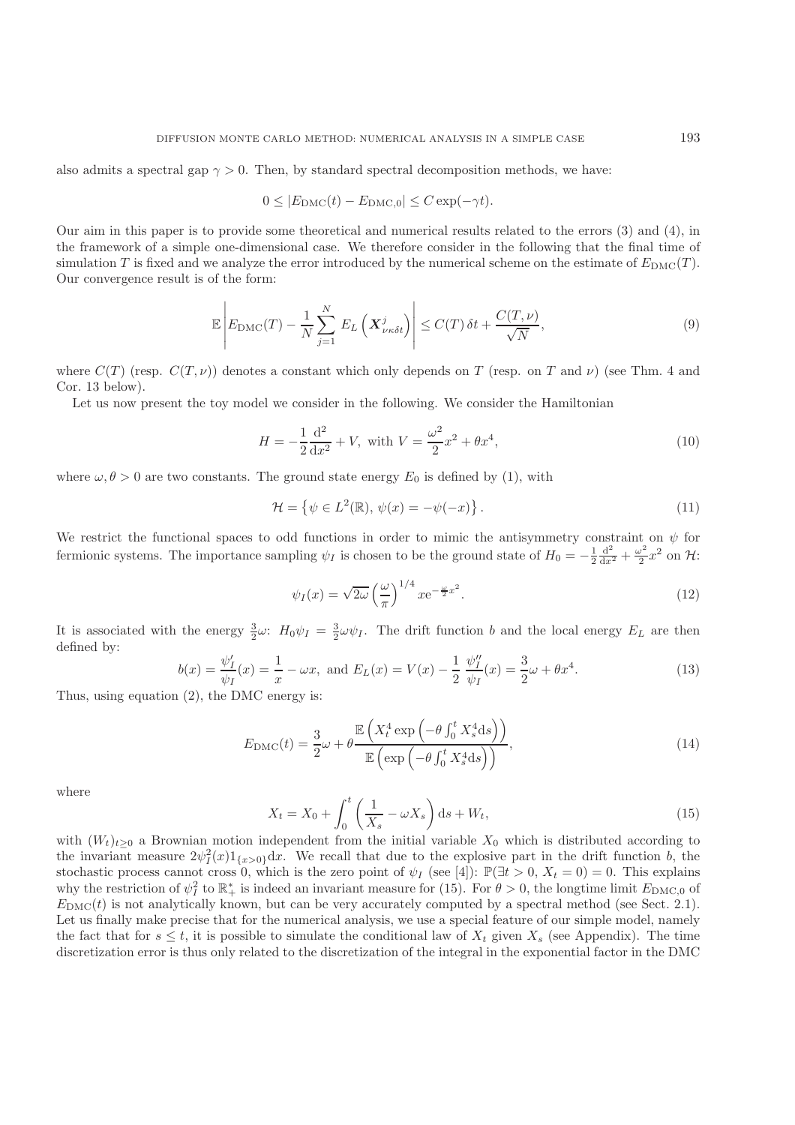also admits a spectral gap  $\gamma > 0$ . Then, by standard spectral decomposition methods, we have:

$$
0 \le |E_{\text{DMC}}(t) - E_{\text{DMC},0}| \le C \exp(-\gamma t).
$$

Our aim in this paper is to provide some theoretical and numerical results related to the errors (3) and (4), in the framework of a simple one-dimensional case. We therefore consider in the following that the final time of simulation T is fixed and we analyze the error introduced by the numerical scheme on the estimate of  $E_{\text{DMC}}(T)$ . Our convergence result is of the form:

$$
\mathbb{E}\left| E_{\text{DMC}}(T) - \frac{1}{N} \sum_{j=1}^{N} E_L\left(\boldsymbol{X}_{\nu\kappa\delta t}^j\right) \right| \le C(T)\,\delta t + \frac{C(T,\nu)}{\sqrt{N}},\tag{9}
$$

where  $C(T)$  (resp.  $C(T,\nu)$ ) denotes a constant which only depends on T (resp. on T and  $\nu$ ) (see Thm. 4 and Cor. 13 below).

Let us now present the toy model we consider in the following. We consider the Hamiltonian

$$
H = -\frac{1}{2}\frac{d^2}{dx^2} + V, \text{ with } V = \frac{\omega^2}{2}x^2 + \theta x^4,
$$
\n(10)

where  $\omega, \theta > 0$  are two constants. The ground state energy  $E_0$  is defined by (1), with

$$
\mathcal{H} = \left\{ \psi \in L^2(\mathbb{R}), \, \psi(x) = -\psi(-x) \right\}.
$$
\n<sup>(11)</sup>

We restrict the functional spaces to odd functions in order to mimic the antisymmetry constraint on  $\psi$  for fermionic systems. The importance sampling  $\psi_I$  is chosen to be the ground state of  $H_0 = -\frac{1}{2}\frac{d^2}{dx^2} + \frac{\omega^2}{2}x^2$  on  $\mathcal{H}$ :

$$
\psi_I(x) = \sqrt{2\omega} \left(\frac{\omega}{\pi}\right)^{1/4} x e^{-\frac{\omega}{2}x^2}.
$$
\n(12)

It is associated with the energy  $\frac{3}{2}\omega$ :  $H_0\psi_I = \frac{3}{2}\omega\psi_I$ . The drift function b and the local energy  $E_L$  are then defined by:

$$
b(x) = \frac{\psi'_I}{\psi_I}(x) = \frac{1}{x} - \omega x, \text{ and } E_L(x) = V(x) - \frac{1}{2} \frac{\psi''_I}{\psi_I}(x) = \frac{3}{2}\omega + \theta x^4.
$$
 (13)

Thus, using equation  $(2)$ , the DMC energy is:

$$
E_{\rm DMC}(t) = \frac{3}{2}\omega + \theta \frac{\mathbb{E}\left(X_t^4 \exp\left(-\theta \int_0^t X_s^4 \mathrm{d}s\right)\right)}{\mathbb{E}\left(\exp\left(-\theta \int_0^t X_s^4 \mathrm{d}s\right)\right)},\tag{14}
$$

where

$$
X_t = X_0 + \int_0^t \left(\frac{1}{X_s} - \omega X_s\right) ds + W_t,
$$
\n(15)

with  $(W_t)_{t\geq0}$  a Brownian motion independent from the initial variable  $X_0$  which is distributed according to the invariant measure  $2\sqrt{2}(x)1$  and  $x$ . We recall that due to the explosive part in the drift function b the invariant measure  $2\psi_1^2(x)1_{\{x>0\}}dx$ . We recall that due to the explosive part in the drift function b, the stockhastic process cannot cross 0, which is the zero point of  $\psi_1$  (see [4]).  $\mathbb{P}(3t>0, X=0)=0$ . This stochastic process cannot cross 0, which is the zero point of  $\psi_I$  (see [4]):  $\mathbb{P}(\exists t > 0, X_t = 0) = 0$ . This explains why the restriction of  $\psi_1^2$  to  $\mathbb{R}^*$  is indeed an invariant measure for (15). For  $\theta > 0$ , the longtime limit  $E_{\text{DMC},0}$  of  $E_{\text{DMC},0}$  of  $E_{\text{DMC},0}$  is not analytically known, but can be very accurately com  $E_{\text{DMC}}(t)$  is not analytically known, but can be very accurately computed by a spectral method (see Sect. 2.1). Let us finally make precise that for the numerical analysis, we use a special feature of our simple model, namely the fact that for  $s \leq t$ , it is possible to simulate the conditional law of  $X_t$  given  $X_s$  (see Appendix). The time discretization error is thus only related to the discretization of the integral in the exponential factor in the DMC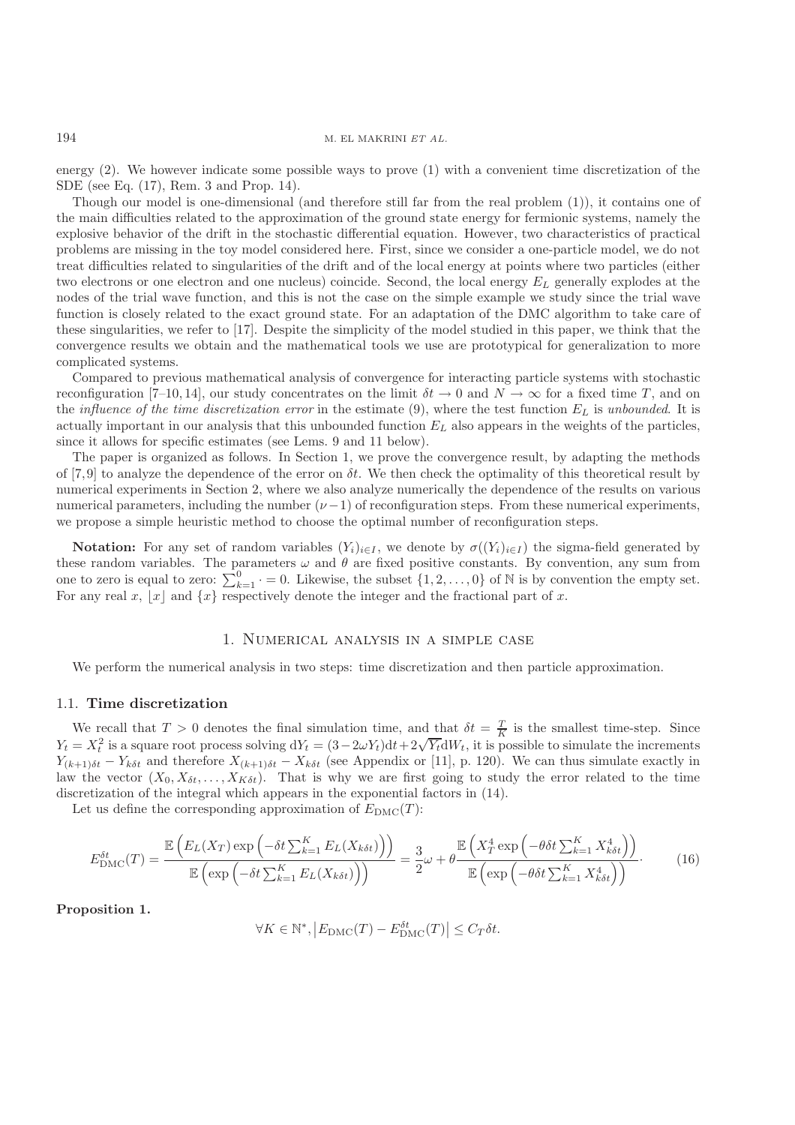energy (2). We however indicate some possible ways to prove (1) with a convenient time discretization of the SDE (see Eq. (17), Rem. 3 and Prop. 14).

Though our model is one-dimensional (and therefore still far from the real problem (1)), it contains one of the main difficulties related to the approximation of the ground state energy for fermionic systems, namely the explosive behavior of the drift in the stochastic differential equation. However, two characteristics of practical problems are missing in the toy model considered here. First, since we consider a one-particle model, we do not treat difficulties related to singularities of the drift and of the local energy at points where two particles (either two electrons or one electron and one nucleus) coincide. Second, the local energy  $E_L$  generally explodes at the nodes of the trial wave function, and this is not the case on the simple example we study since the trial wave function is closely related to the exact ground state. For an adaptation of the DMC algorithm to take care of these singularities, we refer to [17]. Despite the simplicity of the model studied in this paper, we think that the convergence results we obtain and the mathematical tools we use are prototypical for generalization to more complicated systems.

Compared to previous mathematical analysis of convergence for interacting particle systems with stochastic reconfiguration [7–10, 14], our study concentrates on the limit  $\delta t \to 0$  and  $N \to \infty$  for a fixed time T, and on the *influence of the time discretization error* in the estimate (9), where the test function <sup>E</sup>L is *unbounded*. It is actually important in our analysis that this unbounded function  $E<sub>L</sub>$  also appears in the weights of the particles, since it allows for specific estimates (see Lems. 9 and 11 below).

The paper is organized as follows. In Section 1, we prove the convergence result, by adapting the methods of [7,9] to analyze the dependence of the error on  $\delta t$ . We then check the optimality of this theoretical result by numerical experiments in Section 2, where we also analyze numerically the dependence of the results on various numerical parameters, including the number  $(\nu - 1)$  of reconfiguration steps. From these numerical experiments, we propose a simple heuristic method to choose the optimal number of reconfiguration steps.

**Notation:** For any set of random variables  $(Y_i)_{i\in I}$ , we denote by  $\sigma((Y_i)_{i\in I})$  the sigma-field generated by these random variables. The parameters  $\omega$  and  $\theta$  are fixed positive constants. By convention, any sum from one to zero is equal to zero:  $\sum_{k=1}^{0} = 0$ . Likewise, the subset  $\{1, 2, ..., 0\}$  of N is by convention the empty set. For any real x, |x| and  $\{x\}$  respectively denote the integer and the fractional part of x.

### 1. Numerical analysis in a simple case

We perform the numerical analysis in two steps: time discretization and then particle approximation.

#### 1.1. **Time discretization**

We recall that  $T > 0$  denotes the final simulation time, and that  $\delta t = \frac{T}{K}$  is the smallest time-step. Since  $-\mathbf{Y}^2$  is a square root process solving  $dV = (3-2\omega V)d\theta + 2\sqrt{V}dW$ , it is possible to simulate the increme We recall that  $T > 0$  denotes the mial simulation time, and that  $\sigma t = \frac{1}{K}$  is the simulate the increments  $Y_t = X_t^2$  is a square root process solving  $dY_t = (3-2\omega Y_t)dt + 2\sqrt{Y_t}dW_t$ , it is possible to simulate the increme  $Y_{(k+1)\delta t} - Y_{k\delta t}$  and therefore  $X_{(k+1)\delta t} - X_{k\delta t}$  (see Appendix or [11], p. 120). We can thus simulate exactly in<br>law the vector  $(X_{\delta}, X_{\delta}, Y_{\delta})$ . That is why we are first going to study the error related to the ti law the vector  $(X_0, X_{\delta t}, \ldots, X_{K \delta t})$ . That is why we are first going to study the error related to the time<br>discretization of the integral which appears in the exponential factors in (14) discretization of the integral which appears in the exponential factors in (14).

Let us define the corresponding approximation of  $E_{\text{DMC}}(T)$ :

$$
E_{\text{DMC}}^{\delta t}(T) = \frac{\mathbb{E}\left(E_L(X_T)\exp\left(-\delta t \sum_{k=1}^K E_L(X_{k\delta t})\right)\right)}{\mathbb{E}\left(\exp\left(-\delta t \sum_{k=1}^K E_L(X_{k\delta t})\right)\right)} = \frac{3}{2}\omega + \theta \frac{\mathbb{E}\left(X_T^4\exp\left(-\theta\delta t \sum_{k=1}^K X_{k\delta t}^4\right)\right)}{\mathbb{E}\left(\exp\left(-\theta\delta t \sum_{k=1}^K X_{k\delta t}^4\right)\right)}.
$$
(16)

#### **Proposition 1.**

$$
\forall K \in \mathbb{N}^*, |E_{\text{DMC}}(T) - E_{\text{DMC}}^{\delta t}(T)| \le C_T \delta t.
$$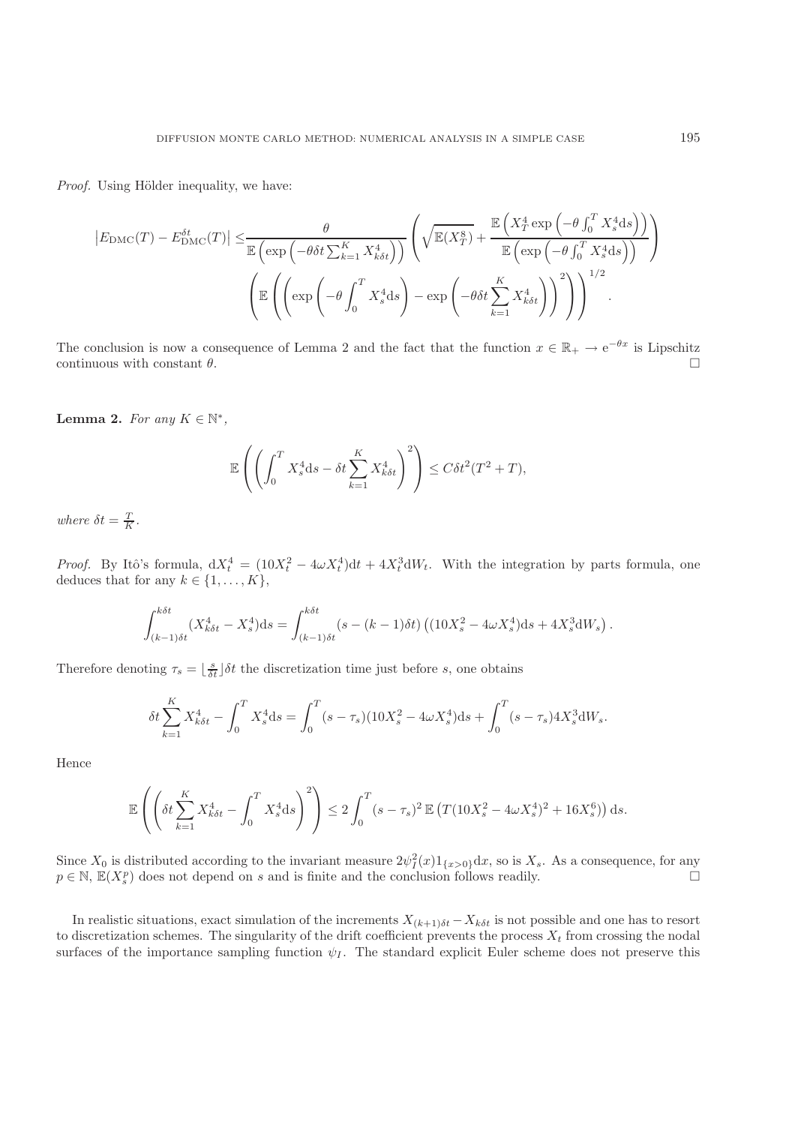*Proof.* Using Hölder inequality, we have:

$$
\left| E_{\text{DMC}}(T) - E_{\text{DMC}}^{\delta t}(T) \right| \leq \frac{\theta}{\mathbb{E} \left( \exp \left( -\theta \delta t \sum_{k=1}^{K} X_{k\delta t}^{4} \right) \right)} \left( \sqrt{\mathbb{E}(X_{T}^{8})} + \frac{\mathbb{E} \left( X_{T}^{4} \exp \left( -\theta \int_{0}^{T} X_{s}^{4} \text{d}s \right) \right)}{\mathbb{E} \left( \exp \left( -\theta \int_{0}^{T} X_{s}^{4} \text{d}s \right) \right)} \right)
$$

$$
\left( \mathbb{E} \left( \left( \exp \left( -\theta \int_{0}^{T} X_{s}^{4} \text{d}s \right) - \exp \left( -\theta \delta t \sum_{k=1}^{K} X_{k\delta t}^{4} \right) \right)^{2} \right) \right)^{1/2}.
$$

The conclusion is now a consequence of Lemma 2 and the fact that the function  $x \in \mathbb{R}_+ \to e^{-\theta x}$  is Lipschitz continuous with constant  $\theta$ . continuous with constant  $\theta$ .

**Lemma 2.** *For any*  $K \in \mathbb{N}^*$ ,

$$
\mathbb{E}\left(\left(\int_0^T X_s^4 \mathrm{d}s - \delta t \sum_{k=1}^K X_{k\delta t}^4\right)^2\right) \le C\delta t^2 (T^2 + T),
$$

where  $\delta t = \frac{T}{K}$ .

*Proof.* By Itô's formula,  $dX_t^4 = (10X_t^2 - 4\omega X_t^4)dt + 4X_t^3 dW_t$ . With the integration by parts formula, one deduces that for any  $k \in \{1, \ldots, K\}$ deduces that for any  $k \in \{1, ..., K\},\$ 

$$
\int_{(k-1)\delta t}^{k\delta t} (X_{k\delta t}^4 - X_s^4) ds = \int_{(k-1)\delta t}^{k\delta t} (s - (k-1)\delta t) \left( (10X_s^2 - 4\omega X_s^4) ds + 4X_s^3 dW_s \right)
$$

Therefore denoting  $\tau_s = \lfloor \frac{s}{\delta t} \rfloor \delta t$  the discretization time just before s, one obtains

$$
\delta t \sum_{k=1}^{K} X_{k\delta t}^4 - \int_0^T X_s^4 \mathrm{d}s = \int_0^T (s - \tau_s)(10X_s^2 - 4\omega X_s^4) \mathrm{d}s + \int_0^T (s - \tau_s) 4X_s^3 \mathrm{d}W_s.
$$

Hence

$$
\mathbb{E}\left(\left(\delta t \sum_{k=1}^K X_{k\delta t}^4 - \int_0^T X_s^4 \mathrm{d}s\right)^2\right) \le 2 \int_0^T (s-\tau_s)^2 \mathbb{E}\left(T(10X_s^2 - 4\omega X_s^4)^2 + 16X_s^6)\right) \mathrm{d}s.
$$

Since  $X_0$  is distributed according to the invariant measure  $2\psi_I^2(x)1_{\{x>0\}}dx$ , so is  $X_s$ . As a consequence, for any  $n \in \mathbb{N}$   $\mathbb{F}(X^p)$  does not depend on s and is finite and the conclusion follows readily  $p \in \mathbb{N}$ ,  $\mathbb{E}(X_s^p)$  does not depend on s and is finite and the conclusion follows readily.

In realistic situations, exact simulation of the increments  $X_{(k+1)\delta t} - X_{k\delta t}$  is not possible and one has to resort to discretization schemes. The singularity of the drift coefficient prevents the process  $X_t$  from crossing the nodal surfaces of the importance sampling function  $\psi_I$ . The standard explicit Euler scheme does not preserve this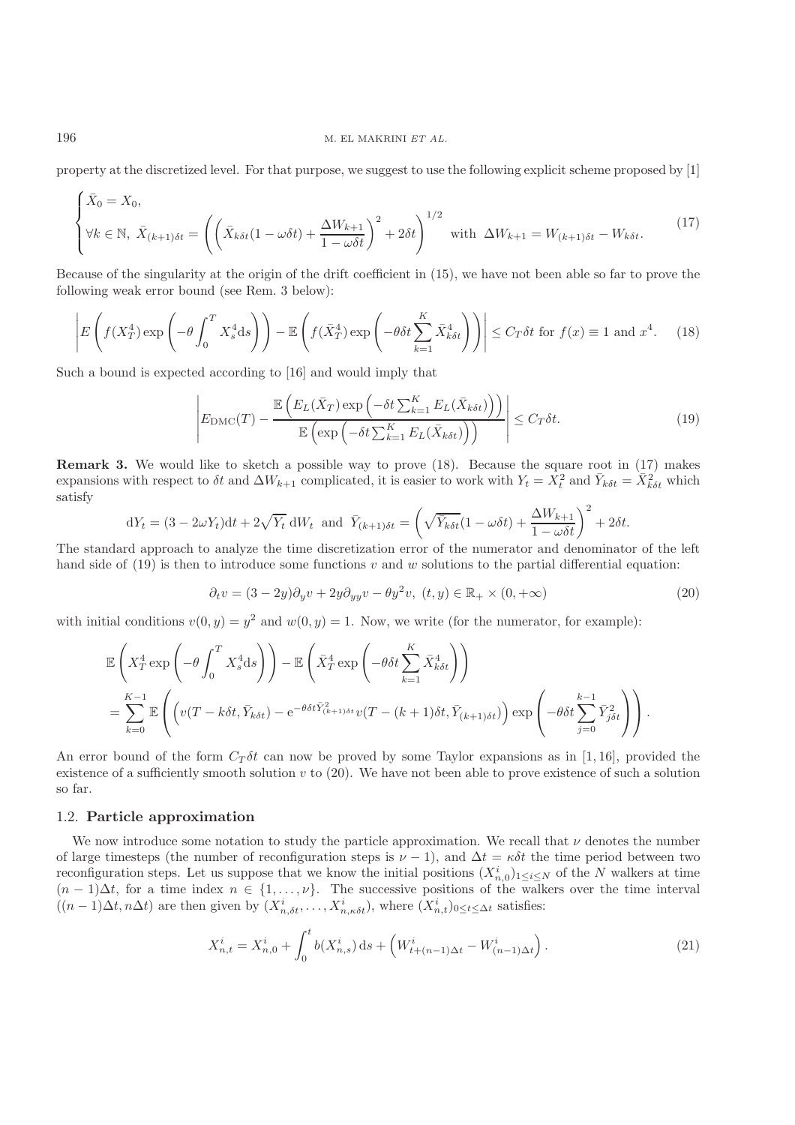#### 196 M. EL MAKRINI *ET AL.*

property at the discretized level. For that purpose, we suggest to use the following explicit scheme proposed by [1]

$$
\begin{cases}\n\bar{X}_0 = X_0, \\
\forall k \in \mathbb{N}, \ \bar{X}_{(k+1)\delta t} = \left(\left(\bar{X}_{k\delta t}(1-\omega\delta t) + \frac{\Delta W_{k+1}}{1-\omega\delta t}\right)^2 + 2\delta t\right)^{1/2} \ \text{with } \ \Delta W_{k+1} = W_{(k+1)\delta t} - W_{k\delta t}.\n\end{cases} (17)
$$

Because of the singularity at the origin of the drift coefficient in (15), we have not been able so far to prove the following weak error bound (see Rem. 3 below):

$$
\left| E\left(f(X_T^4) \exp\left(-\theta \int_0^T X_s^4 \, \mathrm{d}s\right) \right) - \mathbb{E}\left(f(\bar{X}_T^4) \exp\left(-\theta \delta t \sum_{k=1}^K \bar{X}_{k\delta t}^4 \right) \right) \right| \le C_T \delta t \text{ for } f(x) \equiv 1 \text{ and } x^4. \tag{18}
$$

Such a bound is expected according to [16] and would imply that

$$
\left| E_{\text{DMC}}(T) - \frac{\mathbb{E}\left( E_L(\bar{X}_T) \exp\left( -\delta t \sum_{k=1}^K E_L(\bar{X}_{k\delta t}) \right) \right)}{\mathbb{E}\left( \exp\left( -\delta t \sum_{k=1}^K E_L(\bar{X}_{k\delta t}) \right) \right)} \right| \le C_T \delta t.
$$
\n(19)

**Remark 3.** We would like to sketch a possible way to prove (18). Because the square root in (17) makes expansions with respect to  $\delta t$  and  $\Delta W_{k+1}$  complicated, it is easier to work with  $Y_t = \overline{X}_t^2$  and  $\overline{Y}_{k\delta t} = \overline{X}_{k\delta t}^2$  which satisfy

$$
dY_t = (3 - 2\omega Y_t)dt + 2\sqrt{Y_t} dW_t \text{ and } \bar{Y}_{(k+1)\delta t} = \left(\sqrt{\bar{Y}_{k\delta t}}(1 - \omega \delta t) + \frac{\Delta W_{k+1}}{1 - \omega \delta t}\right)^2 + 2\delta t.
$$
  
The standard approach to analyze the time discretization error of the numerator and denominator of the left

hand side of  $(19)$  is then to introduce some functions v and w solutions to the partial differential equation:

$$
\partial_t v = (3 - 2y)\partial_y v + 2y\partial_{yy} v - \theta y^2 v, \ (t, y) \in \mathbb{R}_+ \times (0, +\infty)
$$
\n
$$
(20)
$$

with initial conditions  $v(0, y) = y^2$  and  $w(0, y) = 1$ . Now, we write (for the numerator, for example):

$$
\mathbb{E}\left(X_T^4 \exp\left(-\theta \int_0^T X_s^4 ds\right)\right) - \mathbb{E}\left(\bar{X}_T^4 \exp\left(-\theta \delta t \sum_{k=1}^K \bar{X}_{k\delta t}^4\right)\right)
$$
\n
$$
= \sum_{k=0}^{K-1} \mathbb{E}\left(\left(v(T-k\delta t, \bar{Y}_{k\delta t}) - e^{-\theta \delta t \bar{Y}_{(k+1)\delta t}} v(T-(k+1)\delta t, \bar{Y}_{(k+1)\delta t})\right) \exp\left(-\theta \delta t \sum_{j=0}^{k-1} \bar{Y}_{j\delta t}^2\right)\right).
$$

An error bound of the form  $C_T \delta t$  can now be proved by some Taylor expansions as in [1, 16], provided the existence of a sufficiently smooth solution  $v$  to  $(20)$ . We have not been able to prove existence of such a solution so far.

### 1.2. **Particle approximation**

We now introduce some notation to study the particle approximation. We recall that  $\nu$  denotes the number of large timesteps (the number of reconfiguration steps is  $\nu - 1$ ), and  $\Delta t = \kappa \delta t$  the time period between two reconfiguration steps. Let us suppose that we know the initial positions  $(X_{n,0}^i)_{1\leq i\leq N}$  of the N walkers at time<br> $(n-1) \Delta t$  for a time index  $n \in \{1, \ldots, N\}$ . The successive positions of the walkers over the time i  $(n-1)\Delta t$ , for a time index  $n \in \{1,\ldots,\nu\}$ . The successive positions of the walkers over the time interval  $((n-1)\Delta t, n\Delta t)$  are then given by  $(X^i, \ldots, X^i)$ , where  $(X^i)$  accessive satisfies  $((n-1)\Delta t, n\Delta t)$  are then given by  $(X_{n,\delta t}^i, \ldots, X_{n,\kappa \delta t}^i)$ , where  $(X_{n,t}^i)_{0 \le t \le \Delta t}$  satisfies:

$$
X_{n,t}^i = X_{n,0}^i + \int_0^t b(X_{n,s}^i) \, \mathrm{d}s + \left( W_{t+(n-1)\Delta t}^i - W_{(n-1)\Delta t}^i \right). \tag{21}
$$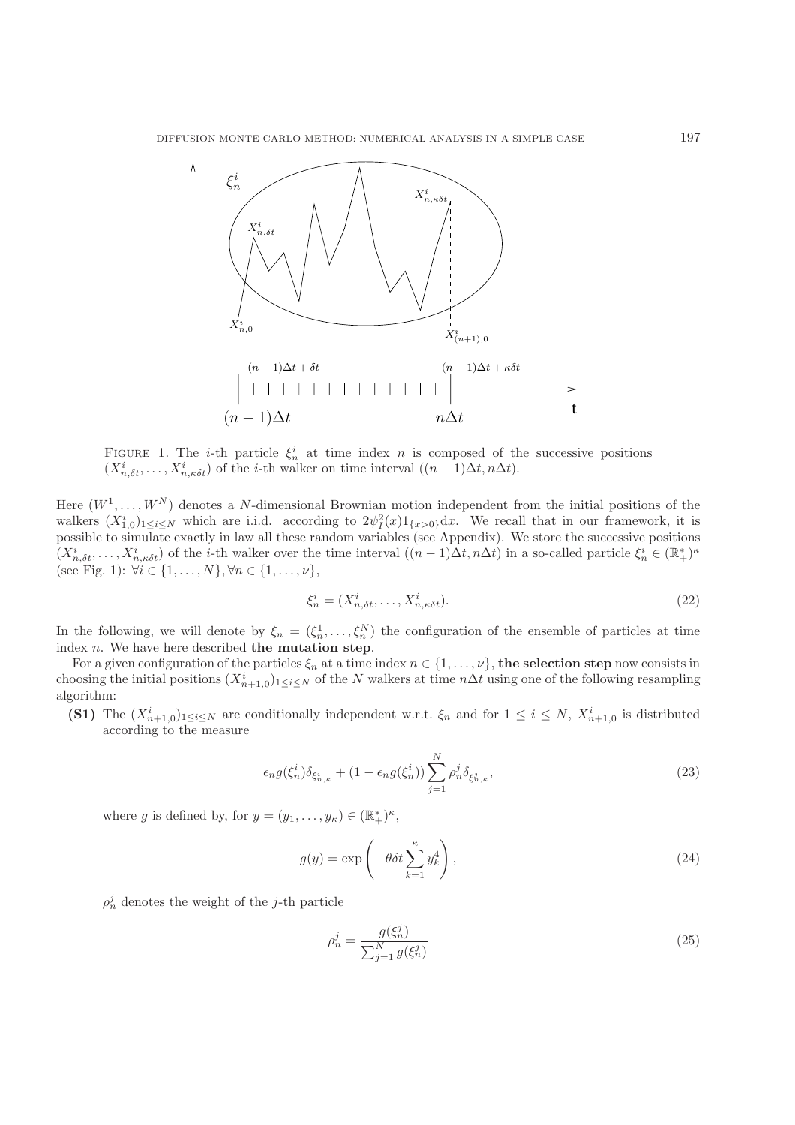

FIGURE 1. The *i*-th particle  $\xi_n^i$  at time index *n* is composed of the successive positions  $(X^i, \ldots, X^i)$  of the *i*-th walker on time interval  $((n-1)\Delta t, n\Delta t)$  $(X_{n,\delta t}^i, \ldots, X_{n,\kappa \delta t}^i)$  of the *i*-th walker on time interval  $((n-1)\Delta t, n\Delta t)$ .

Here  $(W^1, \ldots, W^N)$  denotes a N-dimensional Brownian motion independent from the initial positions of the walkers  $(X_{1,0}^i)_{1 \le i \le N}$  which are i.i.d. according to  $2\psi_i^2(x)1_{\{x>0\}}dx$ . We recall that in our framework, it is possible to simulate exactly in law all these random variables (see Appendix). We store the successive positions  $(X_{n,\delta t}^i, \ldots, X_{n,\kappa \delta t}^i)$  of the *i*-th walker over the time interval  $((n-1)\Delta t, n\Delta t)$  in a so-called particle  $\xi_n^i \in (\mathbb{R}_+^*)^{\kappa}$ <br>(soo Fig. 1),  $\forall i \in [1 \quad N]$ ,  $\forall n \in [1 \quad N]$ (see Fig. 1):  $\forall i \in \{1, ..., N\}, \forall n \in \{1, ..., \nu\},$ 

$$
\xi_n^i = (X_{n,\delta t}^i, \dots, X_{n,\kappa \delta t}^i). \tag{22}
$$

In the following, we will denote by  $\xi_n = (\xi_n^1, \dots, \xi_n^N)$  the configuration of the ensemble of particles at time<br>index n. We have here described the mutation step. index n. We have here described **the mutation step**.

For a given configuration of the particles  $\xi_n$  at a time index  $n \in \{1, \ldots, \nu\}$ , the selection step now consists in choosing the initial positions  $(X_{n+1,0}^i)_{1\leq i\leq N}$  of the N walkers at time  $n\Delta t$  using one of the following resampling algorithm. algorithm:

**(S1)** The  $(X_{n+1,0}^i)_{1 \leq i \leq N}$  are conditionally independent w.r.t.  $\xi_n$  and for  $1 \leq i \leq N$ ,  $X_{n+1,0}^i$  is distributed according to the measure according to the measure

$$
\epsilon_n g(\xi_n^i) \delta_{\xi_{n,\kappa}^i} + (1 - \epsilon_n g(\xi_n^i)) \sum_{j=1}^N \rho_n^j \delta_{\xi_{n,\kappa}^j},
$$
\n(23)

where g is defined by, for  $y = (y_1, \ldots, y_\kappa) \in (\mathbb{R}_+^*)^\kappa$ ,

$$
g(y) = \exp\left(-\theta \delta t \sum_{k=1}^{\kappa} y_k^4\right),\tag{24}
$$

 $\rho_n^j$  denotes the weight of the *j*-th particle

$$
\rho_n^j = \frac{g(\xi_n^j)}{\sum_{j=1}^N g(\xi_n^j)}
$$
\n(25)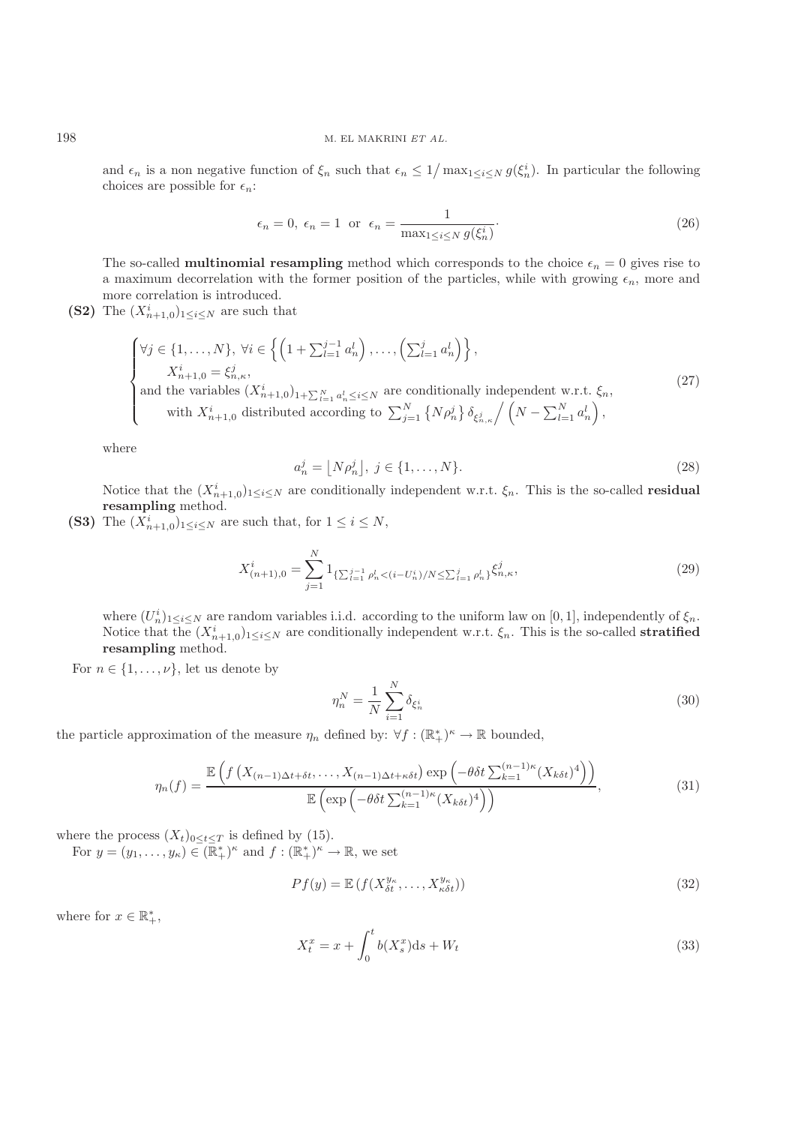and  $\epsilon_n$  is a non negative function of  $\xi_n$  such that  $\epsilon_n \leq 1/\max_{1 \leq i \leq N} g(\xi_n^i)$ . In particular the following choices are possible for  $\epsilon$ . choices are possible for  $\epsilon_n$ :

$$
\epsilon_n = 0, \ \epsilon_n = 1 \ \text{or} \ \ \epsilon_n = \frac{1}{\max_{1 \le i \le N} g(\xi_n^i)}.
$$
\n(26)

The so-called **multinomial resampling** method which corresponds to the choice  $\epsilon_n = 0$  gives rise to a maximum decorrelation with the former position of the particles, while with growing  $\epsilon_n$ , more and more correlation is introduced.

**(S2)** The  $(X_{n+1,0}^i)_{1 \leq i \leq N}$  are such that

$$
\begin{cases}\n\forall j \in \{1, \ldots, N\}, \ \forall i \in \left\{ \left(1 + \sum_{l=1}^{j-1} a_n^l\right), \ldots, \left(\sum_{l=1}^j a_n^l\right) \right\}, \\
\quad X_{n+1,0}^i = \xi_{n,\kappa}^j, \\
\text{and the variables } (X_{n+1,0}^i)_{1+\sum_{l=1}^N a_n^l \le i \le N} \text{ are conditionally independent w.r.t. } \xi_n, \\
\text{with } X_{n+1,0}^i \text{ distributed according to } \sum_{j=1}^N \left\{ N \rho_n^j \right\} \delta_{\xi_{n,\kappa}^j} / \left(N - \sum_{l=1}^N a_n^l\right),\n\end{cases} \tag{27}
$$

where

$$
a_n^j = \left\lfloor N\rho_n^j \right\rfloor, \ j \in \{1, \dots, N\}.
$$
\n<sup>(28)</sup>

Notice that the  $(X_{n+1,0}^i)_{1 \le i \le N}$  are conditionally independent w.r.t.  $\xi_n$ . This is the so-called **residual**<br>resempting method **resampling** method.

**(S3)** The  $(X_{n+1,0}^i)_{1 \leq i \leq N}$  are such that, for  $1 \leq i \leq N$ ,

$$
X_{(n+1),0}^i = \sum_{j=1}^N 1_{\{\sum_{l=1}^{j-1} \rho_n^l < (i-U_n^i)/N \le \sum_{l=1}^j \rho_n^l\}} \xi_{n,\kappa}^j,\tag{29}
$$

where  $(U_n^i)_{1\leq i\leq N}$  are random variables i.i.d. according to the uniform law on [0,1], independently of  $\xi_n$ .<br>Notice that the  $(X^i)$  such are conditionally independent w.r.t.  $\xi$ . This is the so-called **stratified** Notice that the  $(X_{n+1,0}^i)_{1 \leq i \leq N}$  are conditionally independent w.r.t.  $\xi_n$ . This is the so-called **stratified**<br>resempting method **resampling** method.

For  $n \in \{1, \ldots, \nu\}$ , let us denote by

$$
\eta_n^N = \frac{1}{N} \sum_{i=1}^N \delta_{\xi_n^i} \tag{30}
$$

the particle approximation of the measure  $\eta_n$  defined by:  $\forall f: (\mathbb{R}_+^*)^{\kappa} \to \mathbb{R}$  bounded,

$$
\eta_n(f) = \frac{\mathbb{E}\left(f\left(X_{(n-1)\Delta t + \delta t}, \dots, X_{(n-1)\Delta t + \kappa \delta t}\right) \exp\left(-\theta \delta t \sum_{k=1}^{(n-1)\kappa} (X_{k\delta t})^4\right)\right)}{\mathbb{E}\left(\exp\left(-\theta \delta t \sum_{k=1}^{(n-1)\kappa} (X_{k\delta t})^4\right)\right)},\tag{31}
$$

where the process  $(X_t)_{0 \leq t \leq T}$  is defined by (15).

For  $y = (y_1, \ldots, y_\kappa) \in (\mathbb{R}_+^*)^\kappa$  and  $f : (\mathbb{R}_+^*)^\kappa \to \mathbb{R}$ , we set

$$
Pf(y) = \mathbb{E}\left(f(X_{\delta t}^{y_{\kappa}}, \dots, X_{\kappa \delta t}^{y_{\kappa}})\right)
$$
\n(32)

where for  $x \in \mathbb{R}_+^*$ ,

$$
X_t^x = x + \int_0^t b(X_s^x)ds + W_t
$$
\n(33)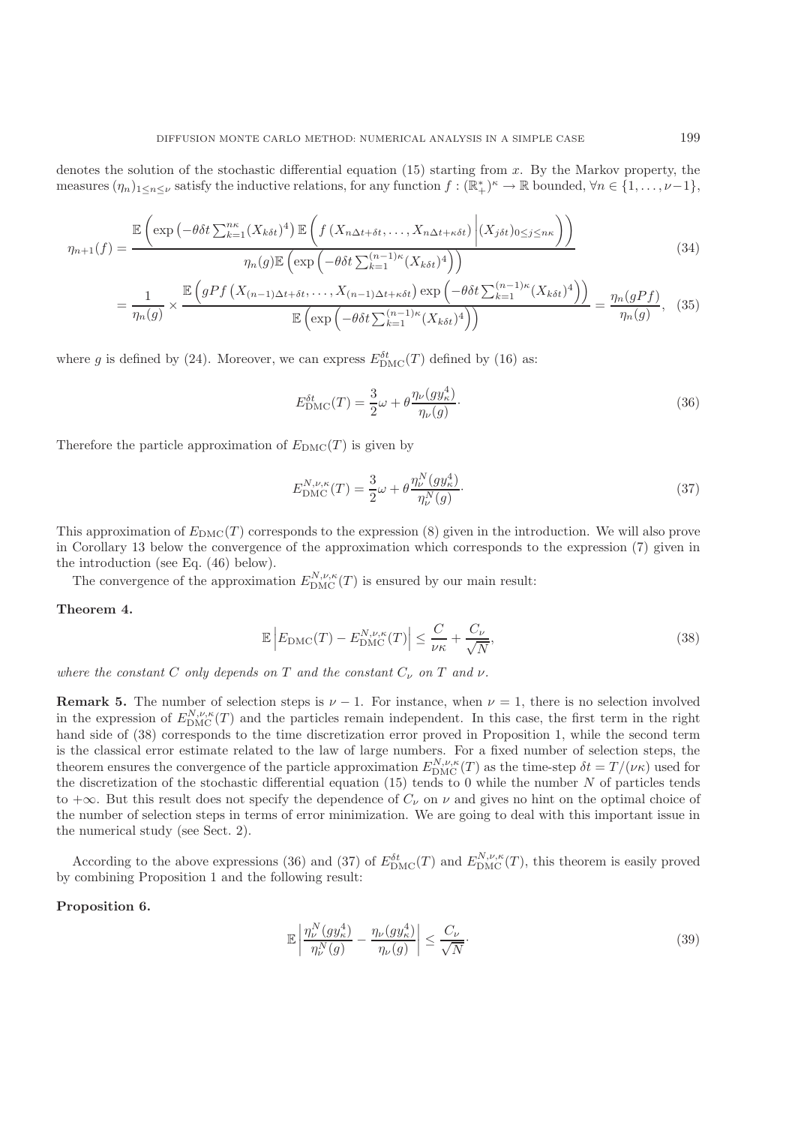denotes the solution of the stochastic differential equation  $(15)$  starting from x. By the Markov property, the measures  $(\eta_n)_{1 \leq n \leq \nu}$  satisfy the inductive relations, for any function  $f : (\mathbb{R}_+^*)^{\kappa} \to \mathbb{R}$  bounded,  $\forall n \in \{1, \ldots, \nu-1\}$ ,

$$
\eta_{n+1}(f) = \frac{\mathbb{E}\left(\exp\left(-\theta\delta t \sum_{k=1}^{n\kappa} (X_{k\delta t})^4\right) \mathbb{E}\left(f\left(X_{n\Delta t + \delta t}, \ldots, X_{n\Delta t + \kappa \delta t}\right) \middle| (X_{j\delta t})_{0 \le j \le n\kappa}\right)\right)}{\eta_n(g)\mathbb{E}\left(\exp\left(-\theta\delta t \sum_{k=1}^{(n-1)\kappa} (X_{k\delta t})^4\right)\right)}\tag{34}
$$

$$
= \frac{1}{\eta_n(g)} \times \frac{\mathbb{E}\left(gPf\left(X_{(n-1)\Delta t + \delta t}, \dots, X_{(n-1)\Delta t + \kappa \delta t}\right) \exp\left(-\theta \delta t \sum_{k=1}^{(n-1)\kappa} (X_k \delta t)^4\right)\right)}{\mathbb{E}\left(\exp\left(-\theta \delta t \sum_{k=1}^{(n-1)\kappa} (X_k \delta t)^4\right)\right)} = \frac{\eta_n(gPf)}{\eta_n(g)},\tag{35}
$$

where g is defined by (24). Moreover, we can express  $E_{\text{DMC}}^{\delta t}(T)$  defined by (16) as:

$$
E_{\text{DMC}}^{\delta t}(T) = \frac{3}{2}\omega + \theta \frac{\eta_{\nu}(g y_{\kappa}^4)}{\eta_{\nu}(g)}.
$$
\n(36)

Therefore the particle approximation of  $E_{\text{DMC}}(T)$  is given by

$$
E_{\rm DMC}^{N,\nu,\kappa}(T) = \frac{3}{2}\omega + \theta \frac{\eta_{\nu}^{N}(gy_{\kappa}^{4})}{\eta_{\nu}^{N}(g)}.
$$
\n(37)

This approximation of  $E_{\text{DMC}}(T)$  corresponds to the expression (8) given in the introduction. We will also prove in Corollary 13 below the convergence of the approximation which corresponds to the expression (7) given in the introduction (see Eq. (46) below).

The convergence of the approximation  $E_{\text{DMC}}^{N,\nu,\kappa}(T)$  is ensured by our main result:

#### **Theorem 4.**

$$
\mathbb{E}\left|E_{\text{DMC}}(T) - E_{\text{DMC}}^{N,\nu,\kappa}(T)\right| \le \frac{C}{\nu\kappa} + \frac{C_{\nu}}{\sqrt{N}},\tag{38}
$$

*where the constant*  $C$  *only depends on*  $T$  *and the constant*  $C_{\nu}$  *on*  $T$  *and*  $\nu$ *.* 

**Remark 5.** The number of selection steps is  $\nu - 1$ . For instance, when  $\nu = 1$ , there is no selection involved in the expression of  $E_{\text{DMC}}^{N,\nu,\kappa}(T)$  and the particles remain independent. In this case, the first term in the right<br>hand side of (38) corresponds to the time discretization error proved in Proposition 1, while the s hand side of (38) corresponds to the time discretization error proved in Proposition 1, while the second term is the classical error estimate related to the law of large numbers. For a fixed number of selection steps, the theorem ensures the convergence of the particle approximation  $E_{\text{DMC}}^{N,\nu,\kappa}(T)$  as the time-step  $\delta t = T/(\nu \kappa)$  used for<br>the discretization of the stochastic differential equation (15) tends to 0 while the number N of the discretization of the stochastic differential equation (15) tends to 0 while the number  $N$  of particles tends to  $+\infty$ . But this result does not specify the dependence of  $C_{\nu}$  on  $\nu$  and gives no hint on the optimal choice of the number of selection steps in terms of error minimization. We are going to deal with this important issue in the numerical study (see Sect. 2).

According to the above expressions (36) and (37) of  $E_{\text{DMC}}^{bt}(T)$  and  $E_{\text{DMC}}^{N,\nu,\kappa}(T)$ , this theorem is easily proved<br>combining Proposition 1 and the following result: by combining Proposition 1 and the following result:

#### **Proposition 6.**

$$
\mathbb{E}\left|\frac{\eta_{\nu}^{N}(gy_{\kappa}^{4})}{\eta_{\nu}^{N}(g)} - \frac{\eta_{\nu}(gy_{\kappa}^{4})}{\eta_{\nu}(g)}\right| \leq \frac{C_{\nu}}{\sqrt{N}}.
$$
\n(39)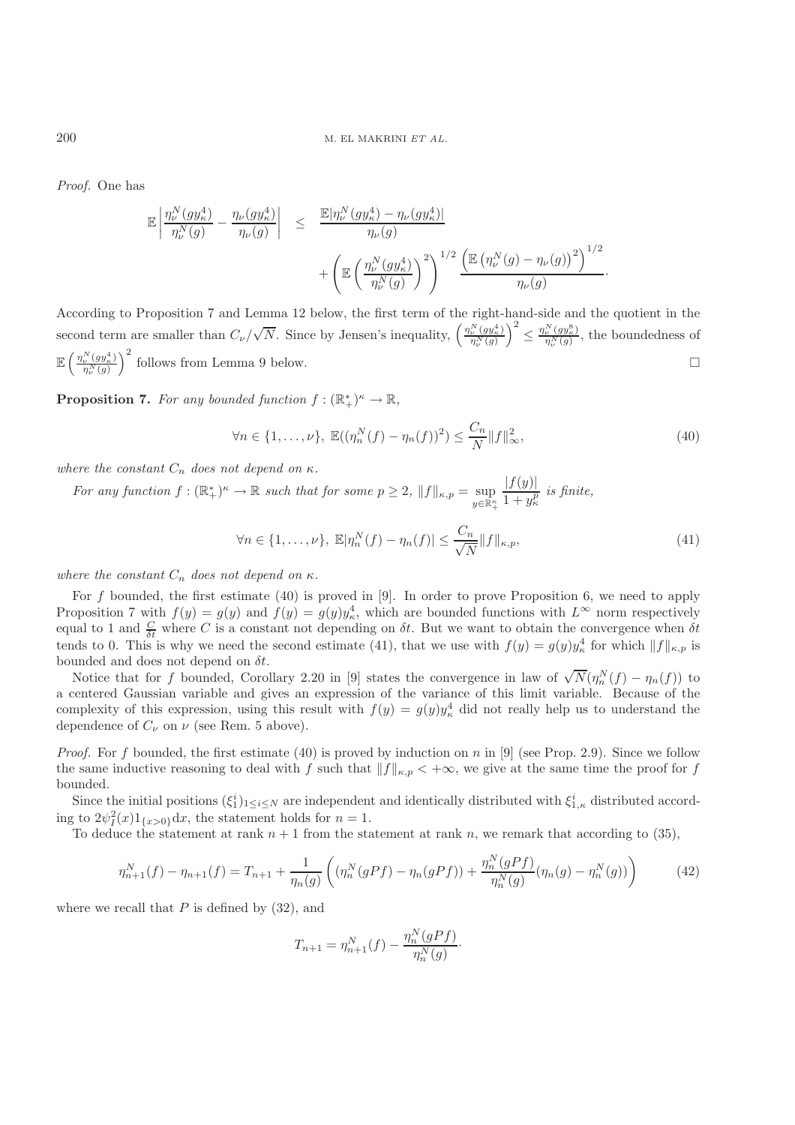*Proof.* One has

$$
\begin{array}{rcl} \mathbb{E}\left|\frac{\eta^N_\nu(gy^4_\kappa)}{\eta^N_\nu(g)}-\frac{\eta_\nu(gy^4_\kappa)}{\eta_\nu(g)}\right|&\leq& \frac{\mathbb{E}|\eta^N_\nu(gy^4_\kappa)-\eta_\nu(gy^4_\kappa)|}{\eta_\nu(g)}\\&+ \left(\mathbb{E}\left(\frac{\eta^N_\nu(gy^4_\kappa)}{\eta^N_\nu(g)}\right)^2\right)^{1/2} \frac{\left(\mathbb{E}\left(\eta^N_\nu(g)-\eta_\nu(g)\right)^2\right)^{1/2}}{\eta_\nu(g)}.\end{array}
$$

According to Proposition 7 and Lemma 12 below, the first term of the right-hand-side and the quotient in the second term are smaller than  $C_{\nu}/$  $\sqrt{N}$ . Since by Jensen's inequality,  $\left(\frac{\eta_{\nu}^{N}(gy_{\kappa}^{4})}{\eta_{\nu}^{N}(g)}\right)$  $\eta_{\nu}^N(g)$  $\left(\frac{\eta_{\nu}^{N}(gy_{\kappa}^{8})}{\eta_{\nu}^{N}(g)},\right)$  the boundedness of  $\mathbb{E} \left( \frac{\eta_{\nu}^N(gy_{\kappa}^4)}{n^{N}(\rho)} \right)$  $\eta^N_\nu(g)$  $\int_{0}^{2}$  follows from Lemma 9 below.

**Proposition 7.** *For any bounded function*  $f: (\mathbb{R}^*_+)^\kappa \to \mathbb{R}$ *,* 

$$
\forall n \in \{1, \dots, \nu\}, \ \mathbb{E}((\eta_n^N(f) - \eta_n(f))^2) \le \frac{C_n}{N} ||f||_{\infty}^2,\tag{40}
$$

*where the constant*  $C_n$  *does not depend on*  $\kappa$ *.* 

*For any function*  $f: (\mathbb{R}^*_+)^\kappa \to \mathbb{R}$  *such that for some*  $p \geq 2$ ,  $||f||_{\kappa,p} = \sup_{y \in \mathbb{R}^\kappa_+}$  $\frac{|f(y)|}{\frac{1}{x+y}}$  $1 + y_{\kappa}^p$ *is finite,*

$$
\forall n \in \{1, \dots, \nu\}, \ \mathbb{E}|\eta_n^N(f) - \eta_n(f)| \le \frac{C_n}{\sqrt{N}} \|f\|_{\kappa, p},\tag{41}
$$

*where the constant*  $C_n$  *does not depend on*  $\kappa$ *.* 

For f bounded, the first estimate  $(40)$  is proved in [9]. In order to prove Proposition 6, we need to apply Proposition 7 with  $f(y) = g(y)$  and  $\hat{f}(y) = g(y)y_x^4$ , which are bounded functions with  $L^{\infty}$  norm respectively equal to 1 and  $\frac{C}{\delta t}$  where C is a constant not depending on  $\delta t$ . But we want to obtain the convergence when  $\delta t$  to  $0$ . This is why we need the second estimate (41) that we use with  $f(u) = g(u)u^4$  for which  $||f||$  tends to 0. This is why we need the second estimate (41), that we use with  $f(y) = g(y)y_{\kappa}^4$  for which  $||f||_{\kappa,p}$  is<br>bounded and does not depend on  $\delta t$ bounded and does not depend on  $\delta t$ .

unded and does not depend on  $\sigma t$ .<br>Notice that for f bounded, Corollary 2.20 in [9] states the convergence in law of  $\sqrt{N}(\eta_n^N(f) - \eta_n(f))$  to<br>centered Gaussian variable and gives an expression of the variance of this limi a centered Gaussian variable and gives an expression of the variance of this limit variable. Because of the complexity of this expression, using this result with  $f(y) = g(y)y_{\kappa}^4$  did not really help us to understand the dependence of  $C$  on  $\mu$  (see Rem. 5 above) dependence of  $C_{\nu}$  on  $\nu$  (see Rem. 5 above).

*Proof.* For f bounded, the first estimate (40) is proved by induction on n in [9] (see Prop. 2.9). Since we follow the same inductive reasoning to deal with f such that  $||f||_{\kappa,p} < +\infty$ , we give at the same time the proof for f bounded.

Since the initial positions  $(\xi_1^i)_{1\leq i\leq N}$  are independent and identically distributed with  $\xi_{1,\kappa}^i$  distributed accord-<br>the  $2\psi^2(x)1$ , and the statement holds for  $n=1$ ing to  $2\psi_1^2(x)1_{\{x>0\}}dx$ , the statement holds for  $n=1$ .<br>To deduce the statement at rank  $n+1$  from the state

To deduce the statement at rank  $n + 1$  from the statement at rank n, we remark that according to (35),

$$
\eta_{n+1}^N(f) - \eta_{n+1}(f) = T_{n+1} + \frac{1}{\eta_n(g)} \left( (\eta_n^N(gPf) - \eta_n(gPf)) + \frac{\eta_n^N(gPf)}{\eta_n^N(g)} (\eta_n(g) - \eta_n^N(g)) \right) \tag{42}
$$

where we recall that  $P$  is defined by  $(32)$ , and

$$
T_{n+1} = \eta_{n+1}^N(f) - \frac{\eta_n^N(gPf)}{\eta_n^N(g)}.
$$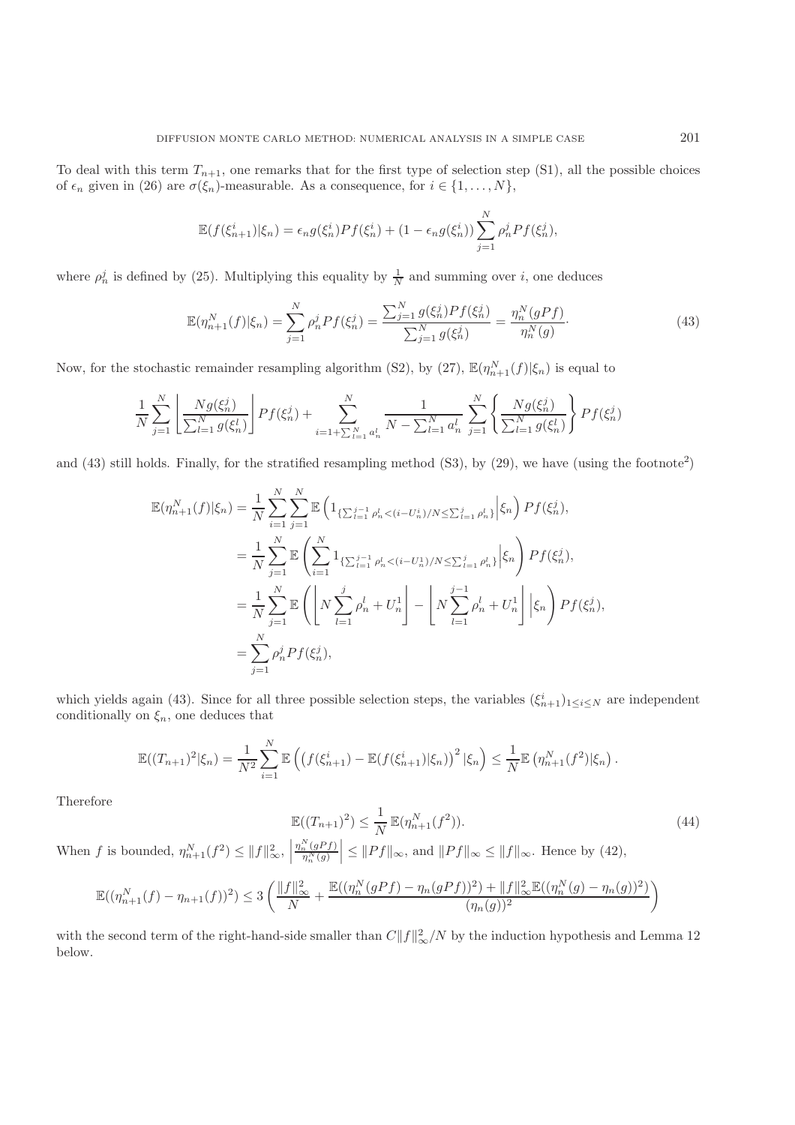To deal with this term  $T_{n+1}$ , one remarks that for the first type of selection step (S1), all the possible choices of  $\epsilon_n$  given in (26) are  $\sigma(\xi_n)$ -measurable. As a consequence, for  $i \in \{1, ..., N\}$ ,

$$
\mathbb{E}(f(\xi_{n+1}^i)|\xi_n) = \epsilon_n g(\xi_n^i) Pf(\xi_n^i) + (1 - \epsilon_n g(\xi_n^i)) \sum_{j=1}^N \rho_n^j Pf(\xi_n^j),
$$

where  $\rho_n^j$  is defined by (25). Multiplying this equality by  $\frac{1}{N}$  and summing over *i*, one deduces

$$
\mathbb{E}(\eta_{n+1}^N(f)|\xi_n) = \sum_{j=1}^N \rho_n^j Pf(\xi_n^j) = \frac{\sum_{j=1}^N g(\xi_n^j) Pf(\xi_n^j)}{\sum_{j=1}^N g(\xi_n^j)} = \frac{\eta_n^N(gPf)}{\eta_n^N(g)}.
$$
\n(43)

Now, for the stochastic remainder resampling algorithm (S2), by (27),  $\mathbb{E}(\eta_{n+1}^N(f)|\xi_n)$  is equal to

$$
\frac{1}{N} \sum_{j=1}^{N} \left[ \frac{N g(\xi_n^j)}{\sum_{l=1}^{N} g(\xi_n^l)} \right] P f(\xi_n^j) + \sum_{i=1+\sum_{l=1}^{N} a_n^l}^{N} \frac{1}{N - \sum_{l=1}^{N} a_n^l} \sum_{j=1}^{N} \left\{ \frac{N g(\xi_n^j)}{\sum_{l=1}^{N} g(\xi_n^l)} \right\} P f(\xi_n^j)
$$

and (43) still holds. Finally, for the stratified resampling method  $(S3)$ , by (29), we have (using the footnote<sup>2</sup>)

$$
\mathbb{E}(\eta_{n+1}^{N}(f)|\xi_{n}) = \frac{1}{N} \sum_{i=1}^{N} \sum_{j=1}^{N} \mathbb{E} \left( 1_{\{\sum_{l=1}^{j-1} \rho_{n}^{l} < (i-U_{n}^{i})/N \leq \sum_{l=1}^{j} \rho_{n}^{l}\}} \Big| \xi_{n} \right) Pf(\xi_{n}^{j}),
$$
\n
$$
= \frac{1}{N} \sum_{j=1}^{N} \mathbb{E} \left( \sum_{i=1}^{N} 1_{\{\sum_{l=1}^{j-1} \rho_{n}^{l} < (i-U_{n}^{1})/N \leq \sum_{l=1}^{j} \rho_{n}^{l}\}} \Big| \xi_{n} \right) Pf(\xi_{n}^{j}),
$$
\n
$$
= \frac{1}{N} \sum_{j=1}^{N} \mathbb{E} \left( \left[ N \sum_{l=1}^{j} \rho_{n}^{l} + U_{n}^{1} \right] - \left[ N \sum_{l=1}^{j-1} \rho_{n}^{l} + U_{n}^{1} \right] \Big| \xi_{n} \right) Pf(\xi_{n}^{j}),
$$
\n
$$
= \sum_{j=1}^{N} \rho_{n}^{j} Pf(\xi_{n}^{j}),
$$

which yields again (43). Since for all three possible selection steps, the variables  $(\xi_{n+1}^i)_{1\leq i\leq N}$  are independent conditionally on  $\xi$  one deduces that conditionally on  $\xi_n$ , one deduces that

$$
\mathbb{E}((T_{n+1})^2|\xi_n) = \frac{1}{N^2} \sum_{i=1}^N \mathbb{E}\left(\left(f(\xi_{n+1}^i) - \mathbb{E}(f(\xi_{n+1}^i)|\xi_n)\right)^2|\xi_n\right) \leq \frac{1}{N} \mathbb{E}\left(\eta_{n+1}^N(f^2)|\xi_n\right).
$$

Therefore

$$
\mathbb{E}((T_{n+1})^2) \le \frac{1}{N} \mathbb{E}(\eta_{n+1}^N(f^2)).
$$
\n(44)

When f is bounded,  $\eta_{n+1}^N(f^2) \le ||f||_{\infty}^2$ ,  $\left|\frac{\eta_n^N(gPf)}{\eta_n^N(g)}\right| \le ||Pf||$  $\frac{\eta_n^N(gPf)}{n^N(g)}$  $\eta_n^N(g)$  $\leq$   $||Pf||_{\infty}$ , and  $||Pf||_{\infty} \leq$   $||f||_{\infty}$ . Hence by (42),

$$
\mathbb{E}((\eta^N_{n+1}(f) - \eta_{n+1}(f))^2) \le 3\left(\frac{\|f\|_{\infty}^2}{N} + \frac{\mathbb{E}((\eta^N_n(gPf) - \eta_n(gPf))^2) + \|f\|_{\infty}^2 \mathbb{E}((\eta^N_n(g) - \eta_n(g))^2)}{(\eta_n(g))^2}\right)
$$

with the second term of the right-hand-side smaller than  $C||f||^2_{\infty}/N$  by the induction hypothesis and Lemma 12<br>helow below.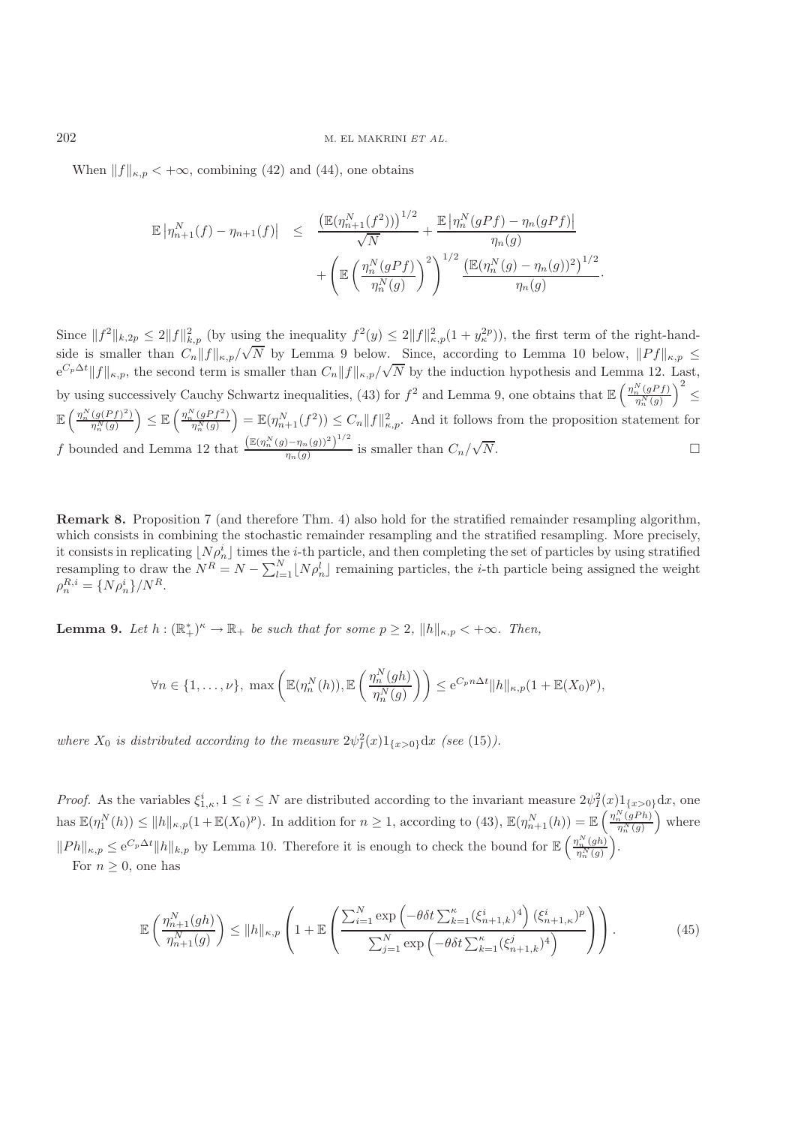When  $||f||_{\kappa,p} < +\infty$ , combining (42) and (44), one obtains

$$
\mathbb{E} |\eta_{n+1}^{N}(f) - \eta_{n+1}(f)| \leq \frac{\left(\mathbb{E}(\eta_{n+1}^{N}(f^{2}))\right)^{1/2}}{\sqrt{N}} + \frac{\mathbb{E} |\eta_{n}^{N}(gPf) - \eta_{n}(gPf)|}{\eta_{n}(g)} + \left(\mathbb{E} \left(\frac{\eta_{n}^{N}(gPf)}{\eta_{n}^{N}(g)}\right)^{2}\right)^{1/2} \frac{\left(\mathbb{E}(\eta_{n}^{N}(g) - \eta_{n}(g))^{2}\right)^{1/2}}{\eta_{n}(g)}.
$$

Since  $||f^2||_{k,2p} \le 2||f||_{k,p}^2$  (by using the inequality  $f^2(y) \le 2||f||_{k,p}^2(1+y_k^{2p})$ ), the first term of the right-handside is smaller than  $C_n||f||_{\kappa,p}/\sqrt{N}$  by Lemma 9 below. Since, according to Lemma 10 below,  $||Pf||_{\kappa,p} \le e^{C_p \Delta t} ||f||_{\kappa,p}$ , the second term is smaller than  $C_n||f||_{\kappa,p}/\sqrt{N}$  by the induction hypothesis and Lemma 12. L  $^{\vee}$ . N by the induction hypothesis and Lemma 12. Last, by using successively Cauchy Schwartz inequalities, (43) for  $f^2$  and Lemma 9, one obtains that  $\mathbb{E}\left(\frac{\eta_n^N(gPf)}{\eta_n^N(g)}\right)$  $\eta_n^N(g)$  $\Big)^2 \leq$  $\mathbb{E} \left( \frac{\eta_n^N (g(Pf)^2)}{n^N(q)} \right)$  $\left(\frac{g(Pf)^2}{\eta_n^N(g)}\right) \leq \mathbb{E}\left(\frac{\eta_n^N(gPf^2)}{\eta_n^N(g)}\right)$  $\left(\frac{N(p+1)^2}{n_n^N(g)}\right) = \mathbb{E}(n_{n+1}^N(f^2)) \leq C_n \|f\|_{\kappa,p}^2$ . And it follows from the proposition statement for f bounded and Lemma 12 that  $\frac{\left(\mathbb{E}(\eta_n^N(g) - \eta_n(g))^2\right)^{1/2}}{\eta_n(g)}$  is smaller than  $C_n/$ √  $N.$ 

**Remark 8.** Proposition 7 (and therefore Thm. 4) also hold for the stratified remainder resampling algorithm, which consists in combining the stochastic remainder resampling and the stratified resampling. More precisely, it consists in replicating  $[N\rho_n^i]$  times the *i*-th particle, and then completing the set of particles by using stratified<br>recompling to draw the  $N^R = N - \sum_{i=1}^N |N_i|$  transitions particles, the *i*-th particle being es resampling to draw the  $N^R = N - \sum_{l=1}^N \lfloor N \rho_n^l \rfloor$  remaining particles, the *i*-th particle being assigned the weight  $\alpha^{R,i} = \lfloor N \rho_i^i \rfloor / N^R$  $\rho_n^{R,i} = \{N\rho_n^i\}/N^R.$ 

**Lemma 9.** *Let*  $h : (\mathbb{R}^*_+)^\kappa \to \mathbb{R}_+$  *be such that for some*  $p \geq 2$ ,  $||h||_{\kappa, p} < +\infty$ *. Then,* 

$$
\forall n \in \{1,\ldots,\nu\}, \max\left(\mathbb{E}(\eta_n^N(h)), \mathbb{E}\left(\frac{\eta_n^N(gh)}{\eta_n^N(g)}\right)\right) \leq e^{C_p n \Delta t} ||h||_{\kappa,p} (1 + \mathbb{E}(X_0)^p),
$$

where  $X_0$  is distributed according to the measure  $2\psi_I^2(x)1_{\{x>0\}}dx$  *(see* (15)*)*.

*Proof.* As the variables  $\xi_{1,\kappa}^i, 1 \leq i \leq N$  are distributed according to the invariant measure  $2\psi_I^2(x)1_{\{x>0\}}dx$ , one has  $\mathbb{E}(\eta_1^N(h)) \le ||h||_{\kappa,p}(1+\mathbb{E}(X_0)^p)$ . In addition for  $n \ge 1$ , according to (43),  $\mathbb{E}(\eta_{n+1}^N(h)) = \mathbb{E}(\eta_{n+1}^N(g)^{n})$  $\frac{n(n+1)}{n(n+1)}$  where  $||Ph||_{\kappa,p} \leq e^{C_p \Delta t} ||h||_{k,p}$  by Lemma 10. Therefore it is enough to check the bound for  $\mathbb{E} \left( \frac{\eta_n^N(gh)}{\eta_n^N(g)} \right)$  $\frac{\eta_n^N(gh)}{\eta_n^N(g)}\bigg).$ For  $n \geq 0$ , one has

$$
\mathbb{E}\left(\frac{\eta_{n+1}^N(gh)}{\eta_{n+1}^N(g)}\right) \le ||h||_{\kappa,p} \left(1 + \mathbb{E}\left(\frac{\sum_{i=1}^N \exp\left(-\theta \delta t \sum_{k=1}^\kappa (\xi_{n+1,k}^i)^4\right) (\xi_{n+1,\kappa}^i)^p}{\sum_{j=1}^N \exp\left(-\theta \delta t \sum_{k=1}^\kappa (\xi_{n+1,k}^j)^4\right)}\right)\right).
$$
(45)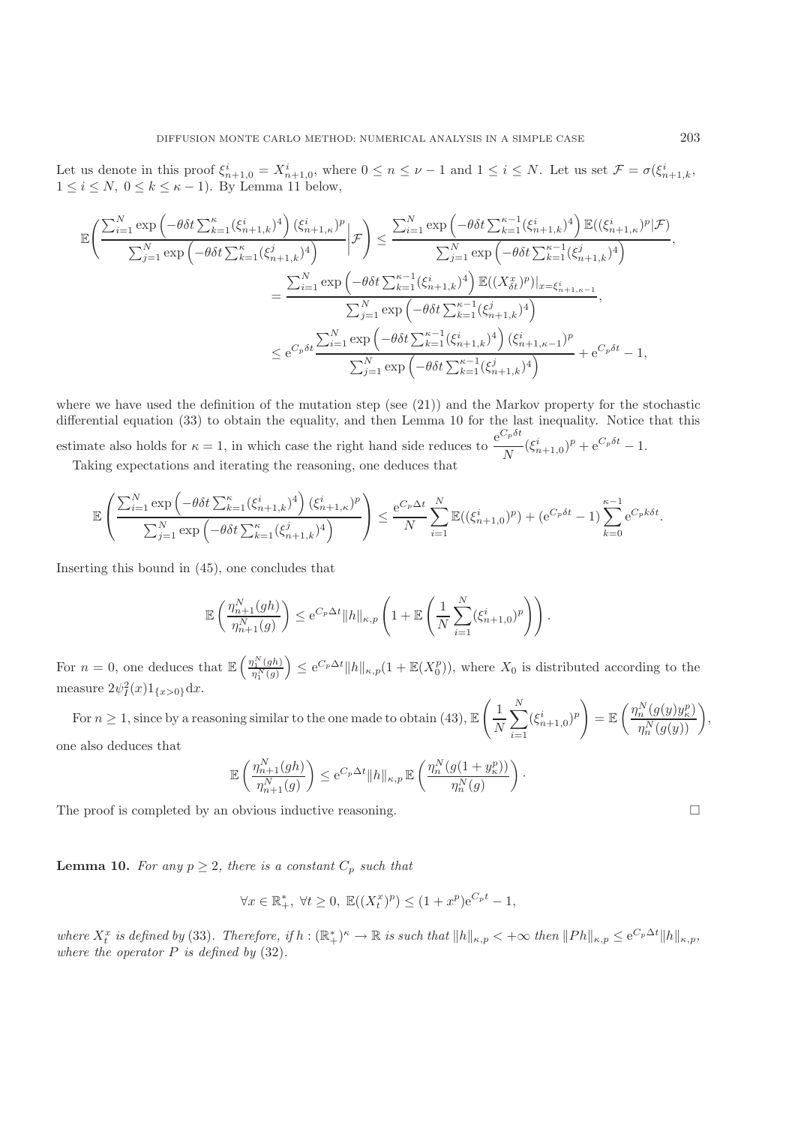Let us denote in this proof  $\xi_{n+1,0}^i = X_{n+1,0}^i$ , where  $0 \le n \le \nu - 1$  and  $1 \le i \le N$ . Let us set  $\mathcal{F} = \sigma(\xi_{n+1,k}^i, 1 \le i \le N, 0 \le k \le \nu - 1)$ . By Lamma 11 below.  $1 \leq i \leq N, \ 0 \leq k \leq \kappa - 1$ ). By Lemma 11 below,

$$
\mathbb{E}\left(\frac{\sum_{i=1}^{N}\exp\left(-\theta\delta t \sum_{k=1}^{\kappa}(\xi_{n+1,k}^{i})^{4}\right)(\xi_{n+1,\kappa}^{i})^{p}}{\sum_{j=1}^{N}\exp\left(-\theta\delta t \sum_{k=1}^{\kappa}(\xi_{n+1,k}^{i})^{4}\right)}\bigg|\mathcal{F}\right) \leq \frac{\sum_{i=1}^{N}\exp\left(-\theta\delta t \sum_{k=1}^{\kappa-1}(\xi_{n+1,k}^{i})^{4}\right)\mathbb{E}((\xi_{n+1,\kappa}^{i})^{p}|\mathcal{F})}{\sum_{j=1}^{N}\exp\left(-\theta\delta t \sum_{k=1}^{\kappa-1}(\xi_{n+1,k}^{i})^{4}\right)},
$$

$$
=\frac{\sum_{i=1}^{N}\exp\left(-\theta\delta t \sum_{k=1}^{\kappa-1}(\xi_{n+1,k}^{i})^{4}\right)\mathbb{E}((X_{\delta t}^{x})^{p})|_{x=\xi_{n+1,\kappa-1}^{i}}}{\sum_{j=1}^{N}\exp\left(-\theta\delta t \sum_{k=1}^{\kappa-1}(\xi_{n+1,k}^{i})^{4}\right)},
$$

$$
\leq e^{C_{p}\delta t}\frac{\sum_{i=1}^{N}\exp\left(-\theta\delta t \sum_{k=1}^{\kappa-1}(\xi_{n+1,k}^{i})^{4}\right)(\xi_{n+1,\kappa-1}^{i})^{p}}{\sum_{j=1}^{N}\exp\left(-\theta\delta t \sum_{k=1}^{\kappa-1}(\xi_{n+1,k}^{i})^{4}\right)} + e^{C_{p}\delta t} - 1,
$$

where we have used the definition of the mutation step (see (21)) and the Markov property for the stochastic differential equation (33) to obtain the equality, and then Lemma 10 for the last inequality. Notice that this estimate also holds for  $\kappa = 1$ , in which case the right hand side reduces to  $\frac{e^{C_p \delta t}}{N} (\xi_{n+1,0}^i)^p + e^{C_p \delta t} - 1$ .<br>Taking expectations and iterating the reasoning, one deduces that

Taking expectations and iterating the reasoning, one deduces that

$$
\mathbb{E}\left(\frac{\sum_{i=1}^{N} \exp\left(-\theta \delta t \sum_{k=1}^{\kappa} (\xi_{n+1,k}^{i})^4\right) (\xi_{n+1,\kappa}^{i})^p}{\sum_{j=1}^{N} \exp\left(-\theta \delta t \sum_{k=1}^{\kappa} (\xi_{n+1,k}^{j})^4\right)}\right) \leq \frac{e^{C_p \Delta t}}{N} \sum_{i=1}^{N} \mathbb{E}((\xi_{n+1,0}^{i})^p) + (e^{C_p \delta t} - 1) \sum_{k=0}^{\kappa-1} e^{C_p k \delta t}.
$$

Inserting this bound in (45), one concludes that

$$
\mathbb{E}\left(\frac{\eta_{n+1}^N(gh)}{\eta_{n+1}^N(g)}\right) \leq e^{C_p \Delta t} ||h||_{\kappa,p} \left(1 + \mathbb{E}\left(\frac{1}{N}\sum_{i=1}^N (\xi_{n+1,0}^i)^p\right)\right).
$$

For  $n = 0$ , one deduces that  $\mathbb{E}\left(\frac{\eta_1^N(gh)}{\eta_1^N(g)}\right)$  $\eta_1^N(g)$  $\left( \sum_{p} \epsilon^{C_p \Delta t} ||h||_{\kappa,p} (1 + \mathbb{E}(X_0^p)), \text{ where } X_0 \text{ is distributed according to the } \right)$ measure  $2\psi_I^2(x)1_{\{x>0\}}dx$ .

For  $n \geq 1$ , since by a reasoning similar to the one made to obtain (43),  $\mathbb{E}\left(\frac{1}{N}\right)$  $\overline{\nabla}$  $\frac{i=1}{i}$  $(\xi_{n+1,0}^i)^p$  $= \mathbb{E} \left( \frac{\eta_n^N(g(y)y_\kappa^p)}{n^{N(g(x))}} \right)$  $\frac{\binom{N}{n}(g(y)y_{\kappa}^p)}{\eta_n^N(g(y))},$ one also deduces that

$$
\mathbb{E}\left(\frac{\eta_{n+1}^N(gh)}{\eta_{n+1}^N(g)}\right) \leq e^{C_p \Delta t} \|h\|_{\kappa,p} \mathbb{E}\left(\frac{\eta_n^N(g(1+y_k^p))}{\eta_n^N(g)}\right)
$$

·

The proof is completed by an obvious inductive reasoning.

**Lemma 10.** For any  $p \geq 2$ , there is a constant  $C_p$  such that

$$
\forall x \in \mathbb{R}_+^*, \ \forall t \ge 0, \ \mathbb{E}((X_t^x)^p) \le (1+x^p)e^{C_p t} - 1,
$$

*where*  $X_t^x$  *is defined by* (33)*. Therefore, if*  $h : (\mathbb{R}_+^*)^{\kappa} \to \mathbb{R}$  *is such that*  $||h||_{\kappa,p} < +\infty$  *then*  $||Ph||_{\kappa,p} \leq e^{C_p \Delta t} ||h||_{\kappa,p}$ ,<br>where the operator P is defined by (33) *where the operator* P *is defined by* (32)*.*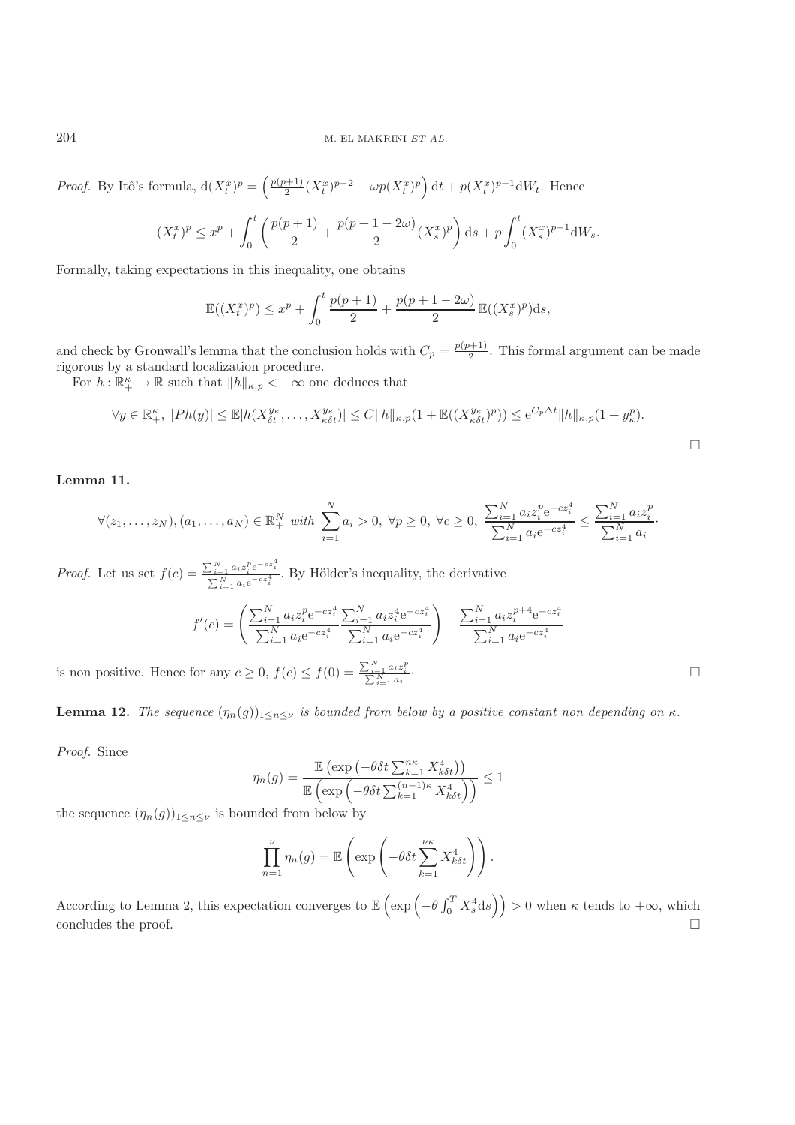#### 204 M. EL MAKRINI *ET AL.*

*Proof.* By Itô's formula,  $d(X_t^x)^p = \left(\frac{p(p+1)}{2}(X_t^x)^{p-2} - \omega p(X_t^x)^p\right)dt + p(X_t^x)^{p-1}dW_t$ . Hence

$$
(X_t^x)^p \le x^p + \int_0^t \left( \frac{p(p+1)}{2} + \frac{p(p+1-2\omega)}{2} (X_s^x)^p \right) ds + p \int_0^t (X_s^x)^{p-1} dW_s.
$$

Formally, taking expectations in this inequality, one obtains

$$
\mathbb{E}((X_t^x)^p) \le x^p + \int_0^t \frac{p(p+1)}{2} + \frac{p(p+1-2\omega)}{2} \mathbb{E}((X_s^x)^p) ds,
$$

and check by Gronwall's lemma that the conclusion holds with  $C_p = \frac{p(p+1)}{2}$ . This formal argument can be made<br>rigorous by a standard localization procedure rigorous by a standard localization procedure.

For  $h: \mathbb{R}_+^{\kappa} \to \mathbb{R}$  such that  $||h||_{\kappa,p} < +\infty$  one deduces that

$$
\forall y \in \mathbb{R}_{+}^{\kappa}, \ |Ph(y)| \leq \mathbb{E}|h(X_{\delta t}^{y_{\kappa}}, \dots, X_{\kappa \delta t}^{y_{\kappa}})| \leq C||h||_{\kappa, p}(1 + \mathbb{E}((X_{\kappa \delta t}^{y_{\kappa}})^p)) \leq e^{C_p \Delta t}||h||_{\kappa, p}(1 + y_{\kappa}^p).
$$

# **Lemma 11.**

$$
\forall (z_1, \ldots, z_N), (a_1, \ldots, a_N) \in \mathbb{R}_+^N \text{ with } \sum_{i=1}^N a_i > 0, \ \forall p \ge 0, \ \forall c \ge 0, \ \frac{\sum_{i=1}^N a_i z_i^p e^{-cz_i^4}}{\sum_{i=1}^N a_i e^{-cz_i^4}} \le \frac{\sum_{i=1}^N a_i z_i^p}{\sum_{i=1}^N a_i}.
$$

*Proof.* Let us set  $f(c) = \frac{\sum_{i=1}^{N} a_i z_i^p e^{-cz_i^q}}{\sum_{i=1}^{N} a_i e^{-cz_i^q}}$  $\sum_{i=1}^{j} \frac{a_i z_i}{a_i e^{-cz_i^4}}$ . By Hölder's inequality, the derivative

$$
f'(c) = \left(\frac{\sum_{i=1}^{N} a_i z_i^p e^{-cz_i^4}}{\sum_{i=1}^{N} a_i e^{-cz_i^4}} \frac{\sum_{i=1}^{N} a_i z_i^4 e^{-cz_i^4}}{\sum_{i=1}^{N} a_i e^{-cz_i^4}}\right) - \frac{\sum_{i=1}^{N} a_i z_i^{p+4} e^{-cz_i^4}}{\sum_{i=1}^{N} a_i e^{-cz_i^4}}
$$

is non positive. Hence for any  $c \ge 0$ ,  $f(c) \le f(0) = \frac{\sum_{i=1}^{N} a_i z_i^p}{\sum_{i=1}^{N} a_i}$ 

**Lemma 12.** *The sequence*  $(\eta_n(g))_{1 \leq n \leq \nu}$  *is bounded from below by a positive constant non depending on*  $\kappa$ *.* 

*Proof.* Since

$$
\eta_n(g) = \frac{\mathbb{E}\left(\exp\left(-\theta\delta t \sum_{k=1}^{n\kappa} X_{k\delta t}^4\right)\right)}{\mathbb{E}\left(\exp\left(-\theta\delta t \sum_{k=1}^{(n-1)\kappa} X_{k\delta t}^4\right)\right)} \le 1
$$

the sequence  $(\eta_n(g))_{1\leq n\leq \nu}$  is bounded from below by

$$
\prod_{n=1}^{\nu} \eta_n(g) = \mathbb{E}\left(\exp\left(-\theta \delta t \sum_{k=1}^{\nu\kappa} X_{k\delta t}^4\right)\right).
$$

According to Lemma 2, this expectation converges to  $\mathbb{E}\left(\exp\left(-\theta \int_0^T X_s^4 ds\right)\right) > 0$  when  $\kappa$  tends to  $+\infty$ , which concludes the proof.  $\Box$ 

·

 $\Box$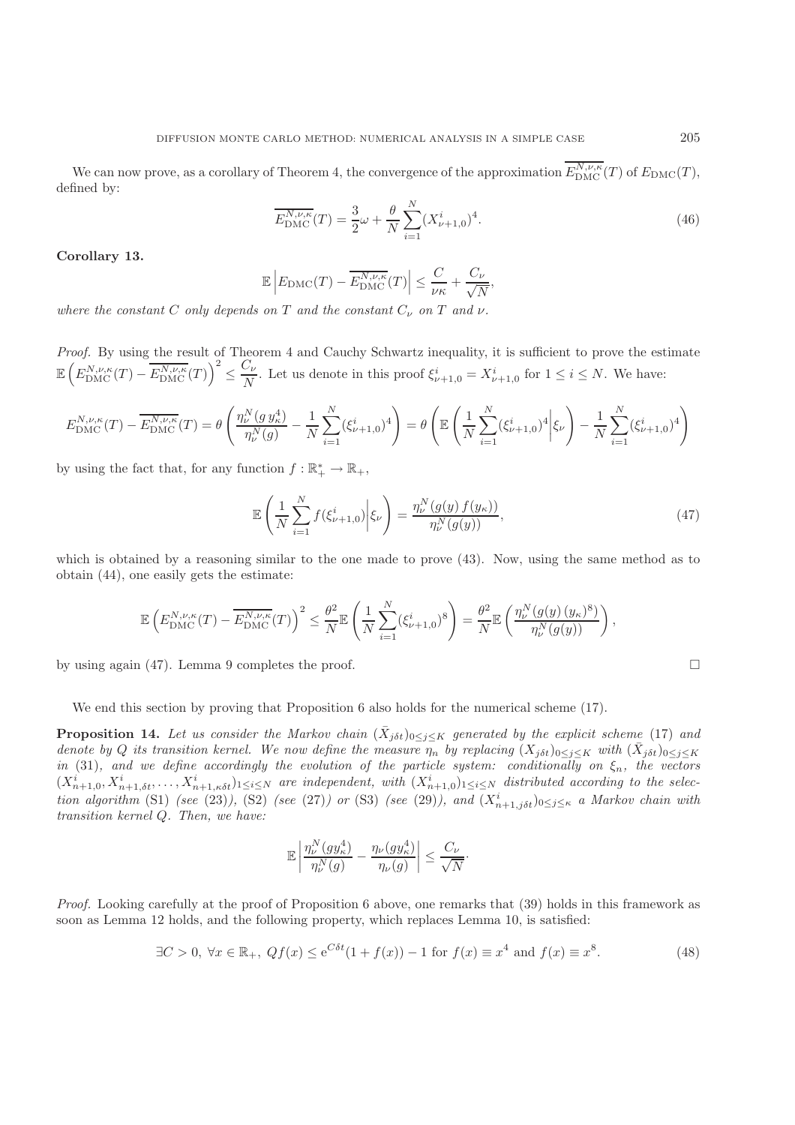We can now prove, as a corollary of Theorem 4, the convergence of the approximation  $E_{\text{DMC}}^{N,\nu,\kappa}(T)$  of  $E_{\text{DMC}}(T)$ , ined by: defined by:

$$
\overline{E_{\rm DMC}^{N,\nu,\kappa}}(T) = \frac{3}{2}\omega + \frac{\theta}{N} \sum_{i=1}^{N} (X_{\nu+1,0}^i)^4.
$$
\n(46)

**Corollary 13.**

$$
\mathbb{E}\left|E_{\text{DMC}}(T) - \overline{E_{\text{DMC}}^{N,\nu,\kappa}}(T)\right| \le \frac{C}{\nu\kappa} + \frac{C_{\nu}}{\sqrt{N}},
$$

*where the constant*  $C$  *only depends on*  $T$  *and the constant*  $C_{\nu}$  *on*  $T$  *and*  $\nu$ *.* 

*Proof.* By using the result of Theorem 4 and Cauchy Schwartz inequality, it is sufficient to prove the estimate  $\mathbb{E}\left(E_{\mathrm{DMC}}^{N,\nu,\kappa}(T)-\overline{E_{\mathrm{DMC}}^{N,\nu,\kappa}}(T)\right)$  $\left(\sum_{i=1}^{n} \sum_{j=1}^{N} X_{i}^{i} \right)$  Let us denote in this proof  $\xi_{\nu+1,0}^{i} = X_{\nu+1,0}^{i}$  for  $1 \leq i \leq N$ . We have:

$$
E_{\rm DMC}^{N,\nu,\kappa}(T) - \overline{E_{\rm DMC}^{N,\nu,\kappa}}(T) = \theta \left( \frac{\eta_{\nu}^N(g \, y_{\kappa}^4)}{\eta_{\nu}^N(g)} - \frac{1}{N} \sum_{i=1}^N (\xi_{\nu+1,0}^i)^4 \right) = \theta \left( \mathbb{E} \left( \frac{1}{N} \sum_{i=1}^N (\xi_{\nu+1,0}^i)^4 \middle| \xi_{\nu} \right) - \frac{1}{N} \sum_{i=1}^N (\xi_{\nu+1,0}^i)^4 \right)
$$

by using the fact that, for any function  $f : \mathbb{R}_+^* \to \mathbb{R}_+$ ,

$$
\mathbb{E}\left(\frac{1}{N}\sum_{i=1}^{N}f(\xi_{\nu+1,0}^{i})\bigg|\xi_{\nu}\right)=\frac{\eta_{\nu}^{N}(g(y)f(y_{\kappa}))}{\eta_{\nu}^{N}(g(y))},\tag{47}
$$

which is obtained by a reasoning similar to the one made to prove (43). Now, using the same method as to obtain (44), one easily gets the estimate:

$$
\mathbb{E}\left(E_{\text{DMC}}^{N,\nu,\kappa}(T) - \overline{E_{\text{DMC}}^{N,\nu,\kappa}}(T)\right)^2 \leq \frac{\theta^2}{N} \mathbb{E}\left(\frac{1}{N}\sum_{i=1}^N (\xi_{\nu+1,0}^i)^8\right) = \frac{\theta^2}{N} \mathbb{E}\left(\frac{\eta_{\nu}^N(g(y) \left(y_{\kappa}\right)^8)}{\eta_{\nu}^N(g(y))}\right),
$$

by using again (47). Lemma 9 completes the proof.  $\square$ 

We end this section by proving that Proposition 6 also holds for the numerical scheme (17).

**Proposition 14.** *Let us consider the Markov chain*  $(\bar{X}_{j\delta t})_{0\leq j\leq K}$  generated by the explicit scheme (17) and *denote by* Q *its transition kernel. We now define the measure*  $\eta_n$  *by replacing*  $(X_{j\delta t})_{0\leq j\leq K}$  *with*  $(\bar{X}_{j\delta t})_{0\leq j\leq K}$ *in* (31), and we define accordingly the evolution of the particle system: conditionally on  $\xi_n$ , the vectors  $(X_{n+1,0}^i, X_{n+1,\delta t}^i, \ldots, X_{n+1,\kappa \delta t}^i)_{1 \leq i \leq N}$  are independent, with  $(X_{n+1,0}^i)_{1 \leq i \leq N}$  distributed according to the selec-<br>tion clearithm (S1) (ese (92)) (S2) (ese (97)) on (S2) (ese (90)) and (Vi *tion algorithm* (S1) *(see* (23)*)*, (S2) *(see* (27*)*) or (S3) *(see* (29*)*), and  $(X_{n+1,j\delta t}^i)_{0 \leq j \leq \kappa}$  *a Markov chain with*<br>transition kernel O. Then we have: *transition kernel* Q*. Then, we have:*

$$
\mathbb{E}\left|\frac{\eta_{\nu}^N(gy_{\kappa}^4)}{\eta_{\nu}^N(g)} - \frac{\eta_{\nu}(gy_{\kappa}^4)}{\eta_{\nu}(g)}\right| \le \frac{C_{\nu}}{\sqrt{N}}.
$$

*Proof.* Looking carefully at the proof of Proposition 6 above, one remarks that (39) holds in this framework as soon as Lemma 12 holds, and the following property, which replaces Lemma 10, is satisfied:

$$
\exists C > 0, \forall x \in \mathbb{R}_+, \ Qf(x) \le e^{C\delta t} (1 + f(x)) - 1 \text{ for } f(x) \equiv x^4 \text{ and } f(x) \equiv x^8. \tag{48}
$$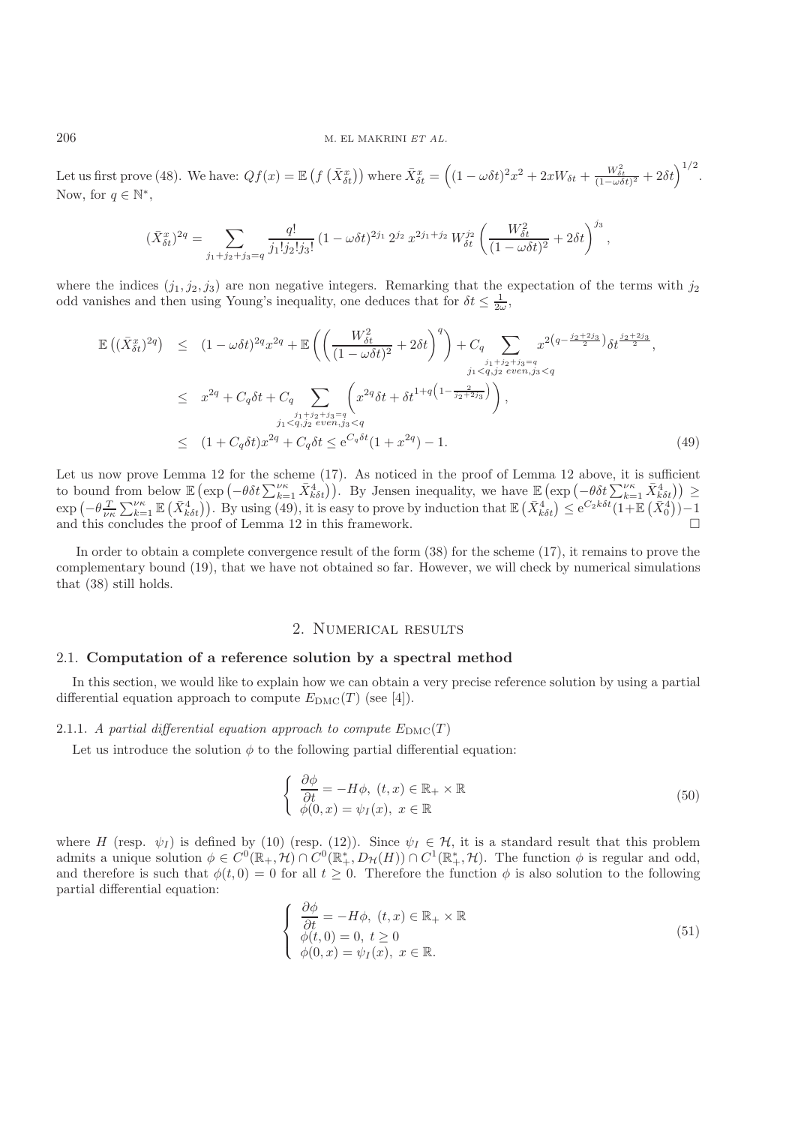#### 206 M. EL MAKRINI *ET AL.*

Let us first prove (48). We have:  $Qf(x) = \mathbb{E}\left(f\right)$  $(\bar{X}_{\delta t}^x)$ ) where  $\bar{X}_{\delta t}^x = \left( (1 - \omega \delta t)^2 x^2 + 2xW_{\delta t} + \frac{W_{\delta t}^2}{(1 - \omega \delta t)^2}\right)$  $\frac{W_{\delta t}^2}{(1-\omega\delta t)^2}+2\delta t\Big)^{1/2}$ . Now, for  $q \in \mathbb{N}^*$ ,

$$
(\bar{X}_{\delta t}^x)^{2q} = \sum_{j_1+j_2+j_3=q} \frac{q!}{j_1!j_2!j_3!} (1-\omega\delta t)^{2j_1} 2^{j_2} x^{2j_1+j_2} W_{\delta t}^{j_2} \left(\frac{W_{\delta t}^2}{(1-\omega\delta t)^2} + 2\delta t\right)^{j_3},
$$

where the indices  $(j_1, j_2, j_3)$  are non negative integers. Remarking that the expectation of the terms with  $j_2$ odd vanishes and then using Young's inequality, one deduces that for  $\delta t \leq \frac{1}{2\omega}$ ,

$$
\mathbb{E}\left((\bar{X}_{\delta t}^{x})^{2q}\right) \leq (1-\omega\delta t)^{2q}x^{2q} + \mathbb{E}\left(\left(\frac{W_{\delta t}^{2}}{(1-\omega\delta t)^{2}}+2\delta t\right)^{q}\right) + C_{q} \sum_{\substack{j_{1}+j_{2}+j_{3}=q\\j_{1} < q, j_{2} \text{ even}, j_{3} < q}} x^{2\left(q-\frac{j_{2}+2j_{3}}{2}\right)}\delta t^{\frac{j_{2}+2j_{3}}{2}},
$$
\n
$$
\leq x^{2q} + C_{q}\delta t + C_{q} \sum_{\substack{j_{1}+j_{2}+j_{3}=q\\j_{1} < q, j_{2} \text{ even}, j_{3} < q}} \left(x^{2q}\delta t + \delta t^{1+q\left(1-\frac{2}{j_{2}+2j_{3}}\right)}\right),
$$
\n
$$
\leq (1 + C_{q}\delta t)x^{2q} + C_{q}\delta t \leq e^{C_{q}\delta t}(1+x^{2q}) - 1.
$$
\n(49)

Let us now prove Lemma 12 for the scheme (17). As noticed in the proof of Lemma 12 above, it is sufficient to bound from below  $\mathbb{E}\left(\exp\left(-\theta \delta t \sum_{k=1}^{|\mu|} \bar{X}_{k\delta t}^4\right)\right)$ . By Jensen inequality, we have  $\mathbb{E}\left(\exp\left(-\theta \delta t \sum_{k=1}^{|\mu|} \bar{X}_{k\delta t}^4\right)\right) \ge \exp\left(-\theta \int_{-\infty}^{\infty} \mathbb{E}\left(\bar{X}_{k\delta t}^4\right) \mathbb{E}\left[\exp\left(-\theta \delta t \sum_{k=1}^{|\mu|} \bar$  $\exp\left(-\theta \frac{T}{\nu\kappa}\sum_{k=1}^{\nu\kappa} \mathbb{E}\left(\bar{X}_{k\delta t}^{4}\right)\right)$ . By using (49), it is easy to prove by induction that  $\mathbb{E}\left(\bar{X}_{k\delta t}^{4}\right) \leq e^{C_{2}k\delta t}(1+\mathbb{E}\left(\bar{X}_{0}^{4}\right))-1$ <br>and this concludes the proof of Lemma 12 in this f and this concludes the proof of Lemma 12 in this framework.  $\Box$ 

In order to obtain a complete convergence result of the form (38) for the scheme (17), it remains to prove the complementary bound (19), that we have not obtained so far. However, we will check by numerical simulations that (38) still holds.

# 2. Numerical results

### 2.1. **Computation of a reference solution by a spectral method**

In this section, we would like to explain how we can obtain a very precise reference solution by using a partial differential equation approach to compute  $E_{\text{DMC}}(T)$  (see [4]).

### 2.1.1. *A partial differential equation approach to compute*  $E_{\text{DMC}}(T)$

Let us introduce the solution  $\phi$  to the following partial differential equation:

$$
\begin{cases}\n\frac{\partial \phi}{\partial t} = -H\phi, \ (t, x) \in \mathbb{R}_+ \times \mathbb{R} \\
\phi(0, x) = \psi_I(x), \ x \in \mathbb{R}\n\end{cases}
$$
\n(50)

where H (resp.  $\psi_I$ ) is defined by (10) (resp. (12)). Since  $\psi_I \in \mathcal{H}$ , it is a standard result that this problem admits a unique solution  $\phi \in C^0(\mathbb{R}_+^*, \mathcal{H}) \cap C^0(\mathbb{R}_+^*, \mathcal{D}_{\mathcal{H}}(H)) \cap C^1(\mathbb{R}_+^*, \mathcal{H})$ . The function  $\phi$  is regular and odd, and therefore is such that  $\phi(t, 0) = 0$  for all  $t \geq 0$ . Therefore the function  $\phi$  is also solution to the following partial differential equation:

$$
\begin{cases}\n\frac{\partial \phi}{\partial t} = -H\phi, \ (t, x) \in \mathbb{R}_+ \times \mathbb{R} \\
\phi(t, 0) = 0, \ t \ge 0 \\
\phi(0, x) = \psi_I(x), \ x \in \mathbb{R}.\n\end{cases}
$$
\n(51)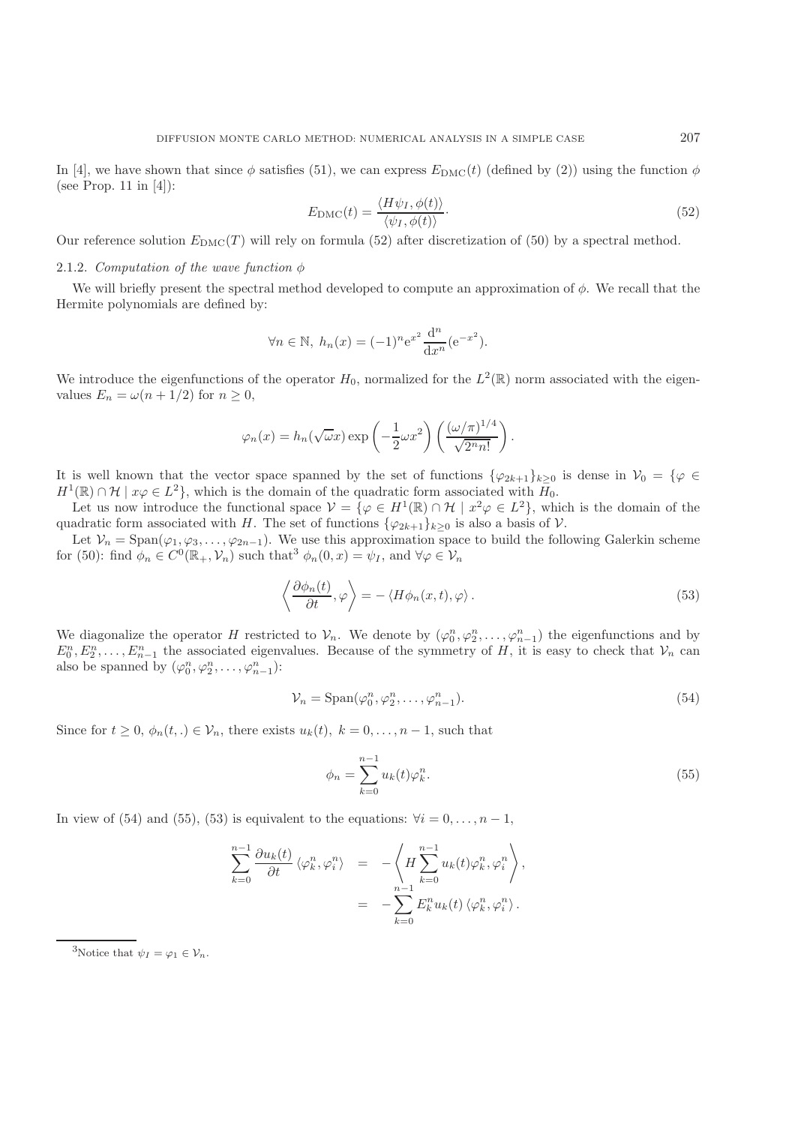In [4], we have shown that since  $\phi$  satisfies (51), we can express  $E_{\text{DMC}}(t)$  (defined by (2)) using the function  $\phi$ (see Prop. 11 in [4]):

$$
E_{\rm DMC}(t) = \frac{\langle H\psi_I, \phi(t) \rangle}{\langle \psi_I, \phi(t) \rangle}.
$$
\n(52)

Our reference solution  $E_{\text{DMC}}(T)$  will rely on formula (52) after discretization of (50) by a spectral method.

### 2.1.2. *Computation of the wave function*  $\phi$

We will briefly present the spectral method developed to compute an approximation of  $\phi$ . We recall that the Hermite polynomials are defined by:

$$
\forall n \in \mathbb{N}, h_n(x) = (-1)^n e^{x^2} \frac{d^n}{dx^n} (e^{-x^2}).
$$

We introduce the eigenfunctions of the operator  $H_0$ , normalized for the  $L^2(\mathbb{R})$  norm associated with the eigenvalues  $E_n = \omega(n + 1/2)$  for  $n \geq 0$ ,

$$
\varphi_n(x) = h_n(\sqrt{\omega}x) \exp\left(-\frac{1}{2}\omega x^2\right) \left(\frac{(\omega/\pi)^{1/4}}{\sqrt{2^n n!}}\right).
$$

It is well known that the vector space spanned by the set of functions  $\{\varphi_{2k+1}\}_{k\geq 0}$  is dense in  $\mathcal{V}_0 = \{\varphi \in$  $H^1(\mathbb{R}) \cap \mathcal{H} \mid x\varphi \in L^2$ , which is the domain of the quadratic form associated with  $H_0$ .

Let us now introduce the functional space  $\mathcal{V} = \{ \varphi \in H^1(\mathbb{R}) \cap \mathcal{H} \mid x^2 \varphi \in L^2 \}$ , which is the domain of the quadratic form associated with H. The set of functions  ${\varphi_{2k+1}}_{k\geq 0}$  is also a basis of  $\mathcal V$ .

Let  $V_n = \text{Span}(\varphi_1, \varphi_3, \ldots, \varphi_{2n-1})$ . We use this approximation space to build the following Galerkin scheme for (50): find  $\phi_n \in C^0(\mathbb{R}_+,\mathcal{V}_n)$  such that  $\phi_n(0,x) = \psi_I$ , and  $\forall \varphi \in \mathcal{V}_n$ 

$$
\left\langle \frac{\partial \phi_n(t)}{\partial t}, \varphi \right\rangle = - \left\langle H \phi_n(x, t), \varphi \right\rangle. \tag{53}
$$

We diagonalize the operator H restricted to  $\mathcal{V}_n$ . We denote by  $(\varphi_0^n, \varphi_2^n, \ldots, \varphi_{n-1}^n)$  the eigenfunctions and by  $F_n^n$   $F_n^n$   $F_n^n$   $F_n^n$  is asset to check that  $\mathcal{V}_n$  can  $\varphi_0^{\ldots}, \varphi_2^{\ldots}, \ldots, \varphi_n^{\ldots}$ <br>potry of H in  $E_0^n, E_2^n, \ldots, E_{n-1}^n$  the associated eigenvalues. Because of the symmetry of H, it is easy to check that  $\mathcal{V}_n$  can<br>also be spanned by  $(\varphi^n, \varphi^n)$ . also be spanned by  $(\varphi_0^n, \varphi_2^n, \ldots, \varphi_{n-1}^n)$ :

$$
\mathcal{V}_n = \text{Span}(\varphi_0^n, \varphi_2^n, \dots, \varphi_{n-1}^n). \tag{54}
$$

Since for  $t \geq 0$ ,  $\phi_n(t,.) \in \mathcal{V}_n$ , there exists  $u_k(t)$ ,  $k = 0, \ldots, n-1$ , such that

$$
\phi_n = \sum_{k=0}^{n-1} u_k(t) \varphi_k^n.
$$
\n
$$
(55)
$$

In view of (54) and (55), (53) is equivalent to the equations:  $\forall i = 0, \ldots, n-1$ ,

$$
\sum_{k=0}^{n-1} \frac{\partial u_k(t)}{\partial t} \langle \varphi_k^n, \varphi_i^n \rangle = - \langle H \sum_{k=0}^{n-1} u_k(t) \varphi_k^n, \varphi_i^n \rangle,
$$
  
= -\sum\_{k=0}^{n-1} E\_k^n u\_k(t) \langle \varphi\_k^n, \varphi\_i^n \rangle.

<sup>3</sup>Notice that  $\psi_I = \varphi_1 \in \mathcal{V}_n$ .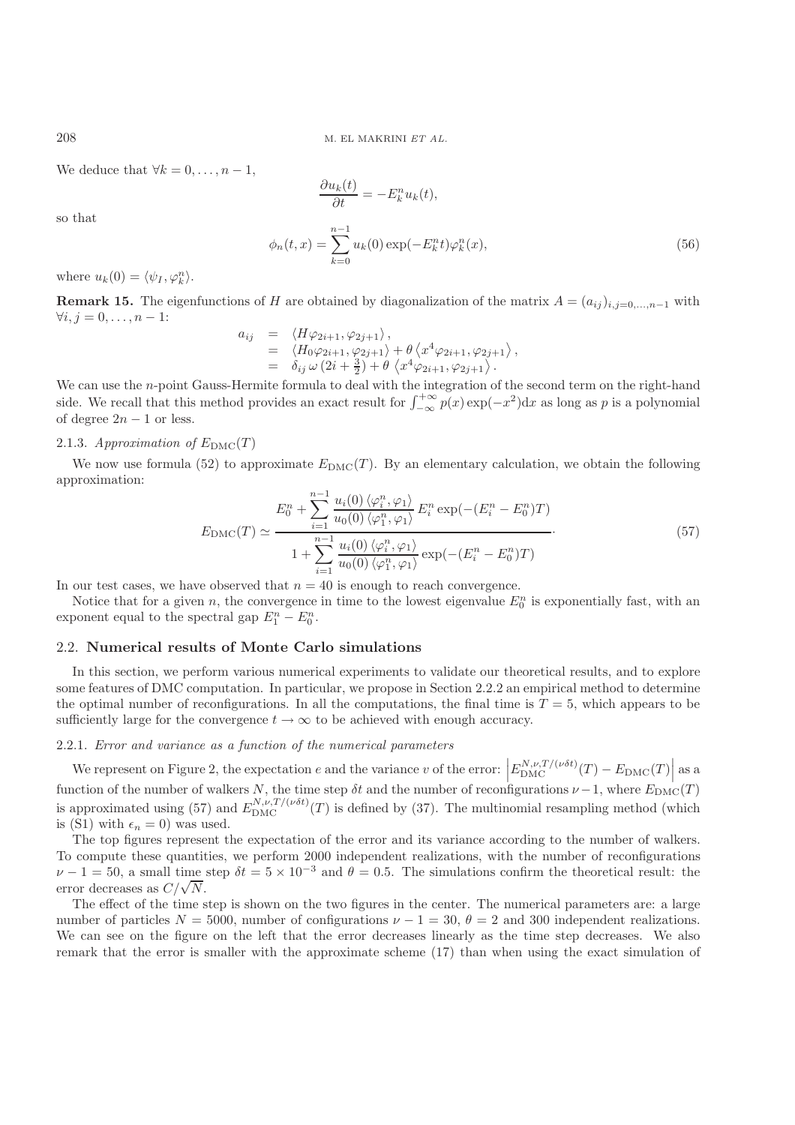We deduce that  $\forall k = 0, \ldots, n-1$ ,

$$
\frac{\partial u_k(t)}{\partial t} = -E_k^n u_k(t),
$$
  

$$
(t, x) = \sum_{k=0}^{n-1} u_k(0) \exp(-E_k^n t) \varphi_k^n(x),
$$
 (56)

where  $u_k(0) = \langle \psi_I, \varphi_k^n \rangle$ .

**Remark 15.** The eigenfunctions of H are obtained by diagonalization of the matrix  $A = (a_{ij})_{i,j=0,\ldots,n-1}$  with  $\forall i, j = 0, \ldots, n-1$ :

$$
a_{ij} = \langle H\varphi_{2i+1}, \varphi_{2j+1} \rangle,
$$
  
\n
$$
= \langle H_0\varphi_{2i+1}, \varphi_{2j+1} \rangle + \theta \langle x^4 \varphi_{2i+1}, \varphi_{2j+1} \rangle,
$$
  
\n
$$
= \delta_{ij} \omega (2i + \frac{3}{2}) + \theta \langle x^4 \varphi_{2i+1}, \varphi_{2j+1} \rangle.
$$

 $= \delta_{ij} \omega (2i + \frac{3}{2}) + \theta \langle x^4 \varphi_{2i+1}, \varphi_{2j+1} \rangle$ .<br>We can use the *n*-point Gauss-Hermite formula to deal with the integration of the second term on the right-hand<br>gide. We recall that this method provides an event result side. We recall that this method provides an exact result for  $\int_{-\infty}^{+\infty} p(x) \exp(-x^2) dx$  as long as p is a polynomial of degree  $2n - 1$  or less.

### 2.1.3. Approximation of  $E_{\text{DMC}}(T)$

We now use formula (52) to approximate  $E_{\text{DMC}}(T)$ . By an elementary calculation, we obtain the following approximation:

$$
E_{\rm DMC}(T) \simeq \frac{E_0^n + \sum_{i=1}^{n-1} \frac{u_i(0) \langle \varphi_i^n, \varphi_1 \rangle}{u_0(0) \langle \varphi_1^n, \varphi_1 \rangle} E_i^n \exp(-(E_i^n - E_0^n)T)}{1 + \sum_{i=1}^{n-1} \frac{u_i(0) \langle \varphi_i^n, \varphi_1 \rangle}{u_0(0) \langle \varphi_1^n, \varphi_1 \rangle} \exp(-(E_i^n - E_0^n)T)}
$$
\n(57)

In our test cases, we have observed that  $n = 40$  is enough to reach convergence.<br>Notice that for a given n, the convergence in time to the lowest eigenvalue  $E$ 

 $\phi_n$ 

Notice that for a given n, the convergence in time to the lowest eigenvalue  $E_0^n$  is exponentially fast, with an popert equal to the spectral gap  $F^n - F^n$ exponent equal to the spectral gap  $E_1^n - E_0^n$ .

### 2.2. **Numerical results of Monte Carlo simulations**

In this section, we perform various numerical experiments to validate our theoretical results, and to explore some features of DMC computation. In particular, we propose in Section 2.2.2 an empirical method to determine the optimal number of reconfigurations. In all the computations, the final time is  $T = 5$ , which appears to be sufficiently large for the convergence  $t \to \infty$  to be achieved with enough accuracy.

### 2.2.1. *Error and variance as a function of the numerical parameters*

We represent on Figure 2, the expectation e and the variance v of the error:  $\left| E_{\text{DMC}}^{N,\nu,T/(\nu\delta t)}(T) - E_{\text{DMC}}(T) \right|$  as a function of the number of walkers N, the time step  $\delta t$  and the number of reconfigurations  $\nu - 1$ , where  $E_{\text{DMC}}(T)$ is approximated using (57) and  $E_{\text{DMC}}^{N,\nu,T/(\nu\delta t)}(T)$  is defined by (37). The multinomial resampling method (which is (S1) with  $\epsilon_n = 0$ ) was used.

The top figures represent the expectation of the error and its variance according to the number of walkers. To compute these quantities, we perform 2000 independent realizations, with the number of reconfigurations  $\nu - 1 = 50$ , a small time step  $\delta t = 5 \times 10^{-3}$  and  $\theta = 0.5$ . The simulations confirm the theoretical result: the  $\nu - 1 = 50$ , a small time<br>error decreases as  $C/\sqrt{N}$ .<br>The effect of the time's

The effect of the time step is shown on the two figures in the center. The numerical parameters are: a large number of particles  $N = 5000$ , number of configurations  $\nu - 1 = 30$ ,  $\theta = 2$  and 300 independent realizations. We can see on the figure on the left that the error decreases linearly as the time step decreases. We also remark that the error is smaller with the approximate scheme (17) than when using the exact simulation of

so that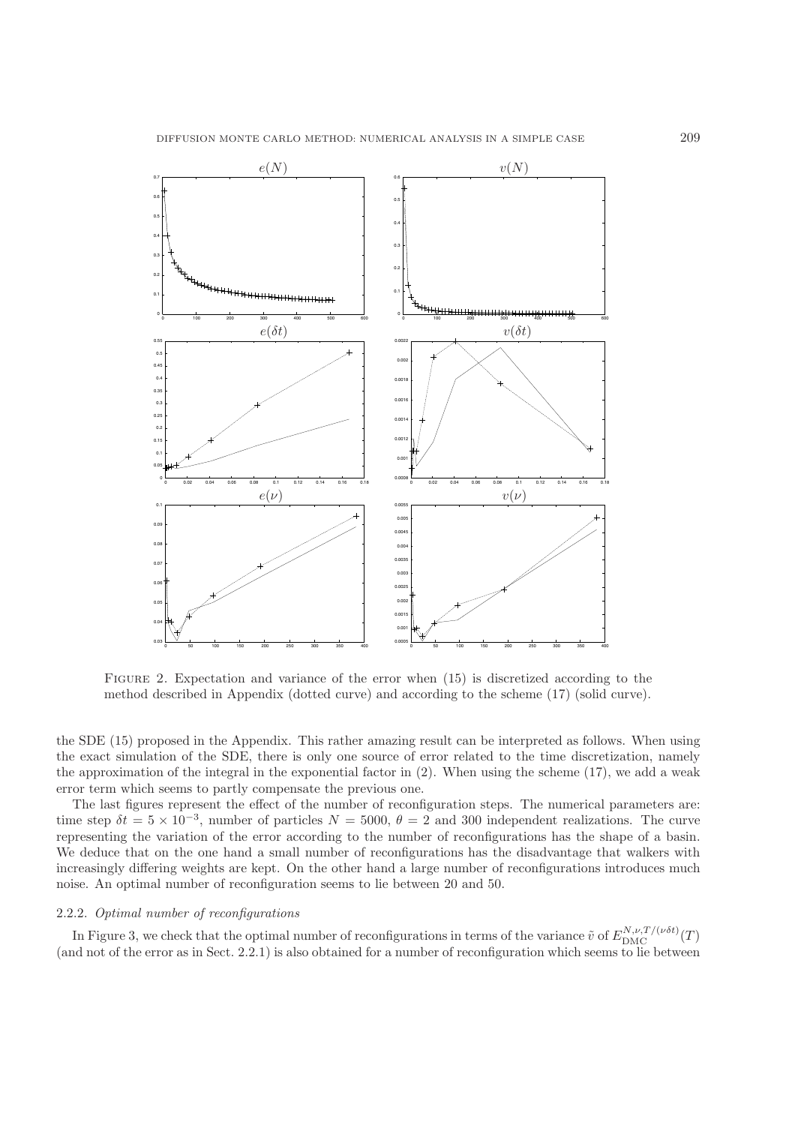

FIGURE 2. Expectation and variance of the error when  $(15)$  is discretized according to the method described in Appendix (dotted curve) and according to the scheme (17) (solid curve).

the SDE (15) proposed in the Appendix. This rather amazing result can be interpreted as follows. When using the exact simulation of the SDE, there is only one source of error related to the time discretization, namely the approximation of the integral in the exponential factor in (2). When using the scheme (17), we add a weak error term which seems to partly compensate the previous one.

The last figures represent the effect of the number of reconfiguration steps. The numerical parameters are: time step  $\delta t = 5 \times 10^{-3}$ , number of particles  $N = 5000$ ,  $\theta = 2$  and 300 independent realizations. The curve representing the variation of the error according to the number of reconfigurations has the shape of a basin. We deduce that on the one hand a small number of reconfigurations has the disadvantage that walkers with increasingly differing weights are kept. On the other hand a large number of reconfigurations introduces much noise. An optimal number of reconfiguration seems to lie between 20 and 50.

### 2.2.2. *Optimal number of reconfigurations*

In Figure 3, we check that the optimal number of reconfigurations in terms of the variance  $\tilde{v}$  of  $E_{\text{DMC}}^{N,\nu,T/(\nu\delta t)}(T)$ <br>of not of the error as in Sect. 2.2.1) is also obtained for a number of reconfiguration whic (and not of the error as in Sect. 2.2.1) is also obtained for a number of reconfiguration which seems to lie between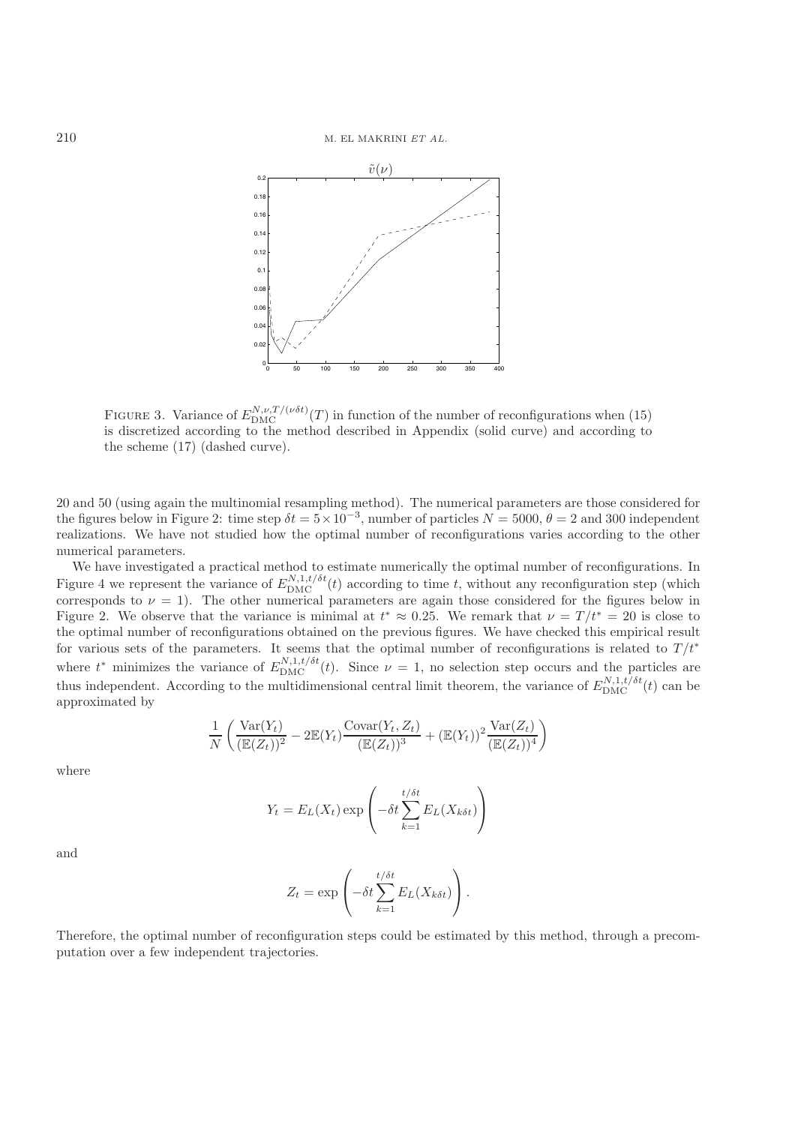

FIGURE 3. Variance of  $E_{\text{DMC}}^{N,\nu,T/(\nu\delta t)}(T)$  in function of the number of reconfigurations when (15) is discretized according to the method described in Appendix (solid curve) and according to is discretized according to the method described in Appendix (solid curve) and according to the scheme (17) (dashed curve).

20 and 50 (using again the multinomial resampling method). The numerical parameters are those considered for the figures below in Figure 2: time step  $\delta t = 5 \times 10^{-3}$ , number of particles  $N = 5000$ ,  $\theta = 2$  and 300 independent realizations. We have not studied how the optimal number of reconfigurations varies according to the other numerical parameters.

We have investigated a practical method to estimate numerically the optimal number of reconfigurations. In Figure 4 we represent the variance of  $E_{\text{DMC}}^{N,1,t/\delta t}(t)$  according to time t, without any reconfiguration step (which corresponds to  $\nu = 1$ . The other numerical parameters are again those considered for the figures below in Figure 2. We observe that the variance is minimal at  $t^* \approx 0.25$ . We remark that  $\nu = T/t^* = 20$  is close to the optimal number of reconfigurations obtained on the previous figures. We have checked this empirical result the optimal number of reconfigurations obtained on the previous figures. We have checked this empirical result for various sets of the parameters. It seems that the optimal number of reconfigurations is related to  $T/t^*$ <br>relevant the particles are also proposed to  $T/t^*$ . where  $t^*$  minimizes the variance of  $E_{\text{DMC}}^{N,1,t/\delta t}(t)$ . Since  $\nu = 1$ , no selection step occurs and the particles are thus independent. According to the multidimensional central limit theorem, the variance of  $E_{\text{DMC}}^{N,1,t/\delta t}(t)$  can be approximated by

$$
\frac{1}{N} \left( \frac{\text{Var}(Y_t)}{(\mathbb{E}(Z_t))^2} - 2\mathbb{E}(Y_t) \frac{\text{Covar}(Y_t, Z_t)}{(\mathbb{E}(Z_t))^3} + (\mathbb{E}(Y_t))^2 \frac{\text{Var}(Z_t)}{(\mathbb{E}(Z_t))^4} \right)
$$

where

$$
Y_t = E_L(X_t) \exp\left(-\delta t \sum_{k=1}^{t/\delta t} E_L(X_{k\delta t})\right)
$$

and

$$
Z_t = \exp\left(-\delta t \sum_{k=1}^{t/\delta t} E_L(X_{k\delta t})\right).
$$

Therefore, the optimal number of reconfiguration steps could be estimated by this method, through a precomputation over a few independent trajectories.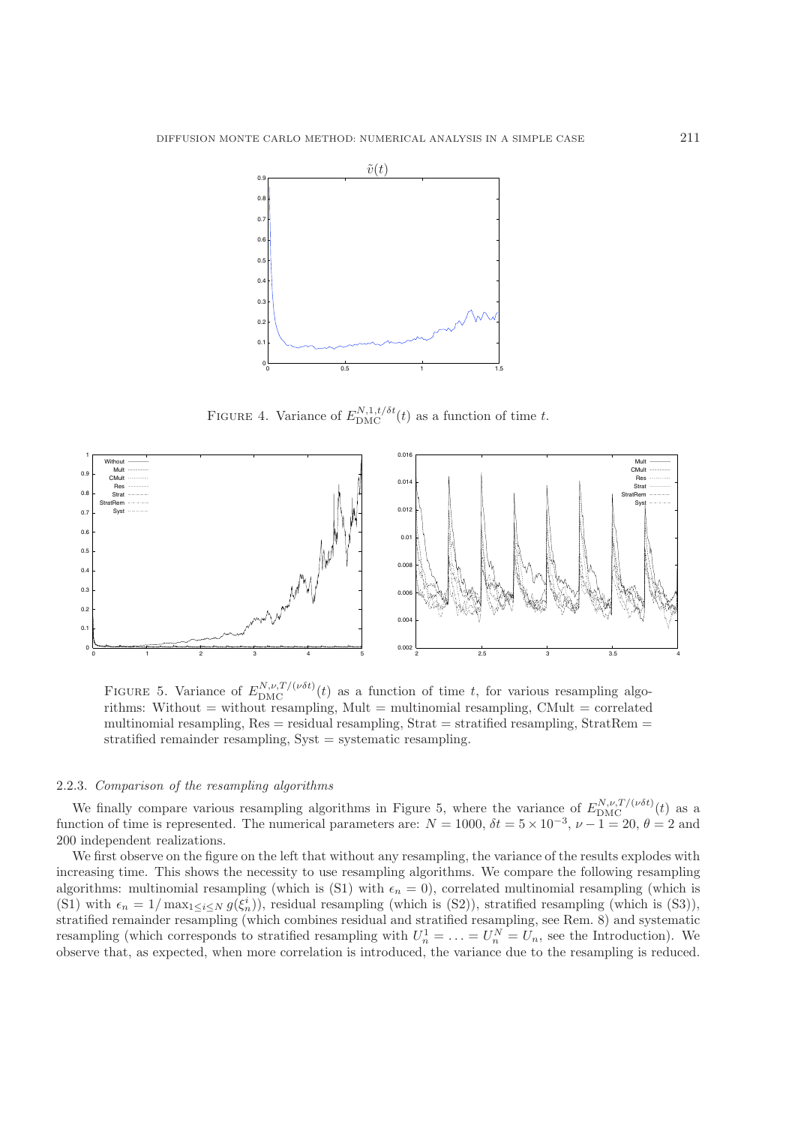

FIGURE 4. Variance of  $E_{\text{DMC}}^{N,1,t/\delta t}(t)$  as a function of time t.



FIGURE 5. Variance of  $E_{\text{DMC}}^{N,\nu,T/(\nu\delta t)}(t)$  as a function of time t, for various resampling algo-<br>rithms: Without – without resampling Mult – multipomial resampling CMult – correlated rithms: Without = without resampling, Mult = multinomial resampling, CMult = correlated multinomial resampling,  $Res = residual$  resampling,  $Strat = stratified$  resampling,  $StratRem =$ stratified remainder resampling, Syst = systematic resampling.

#### 2.2.3. *Comparison of the resampling algorithms*

We finally compare various resampling algorithms in Figure 5, where the variance of  $E_{\text{DMC}}^{N,\nu,T/(\nu\delta t)}(t)$  as a netion of time is represented. The numerical parameters are:  $N = 1000$ ,  $\delta t = 5 \times 10^{-3}$ ,  $\nu = 1 - 20$ ,  $\theta$ function of time is represented. The numerical parameters are:  $N = 1000$ ,  $\delta t = 5 \times 10^{-3}$ ,  $\nu - 1 = 20$ ,  $\theta = 2$  and 200 independent realizations 200 independent realizations.

We first observe on the figure on the left that without any resampling, the variance of the results explodes with increasing time. This shows the necessity to use resampling algorithms. We compare the following resampling algorithms: multinomial resampling (which is (S1) with  $\epsilon_n = 0$ ), correlated multinomial resampling (which is (S1) with  $\epsilon_n = 1/\max_{1 \leq i \leq N} g(\xi_n^i)$ , residual resampling (which is (S2)), stratified resampling (which is (S3)), stratified resampling (which is (S3)), stratified remainder resampling (which combines residual and stratified resampling, see Rem. 8) and systematic resampling (which corresponds to stratified resampling with  $U_n^1 = \ldots = U_n^N = U_n$ , see the Introduction). We<br>observe that as expected, when more correlation is introduced the variance due to the resampling is reduced observe that, as expected, when more correlation is introduced, the variance due to the resampling is reduced.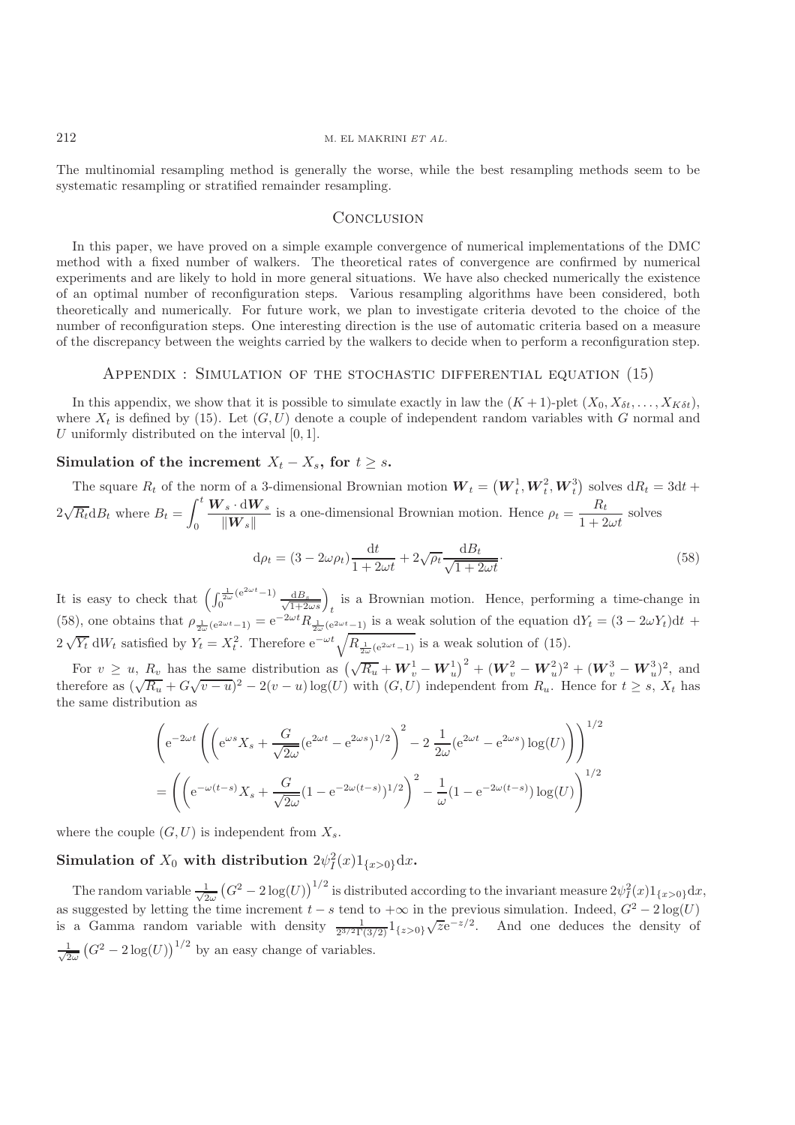The multinomial resampling method is generally the worse, while the best resampling methods seem to be systematic resampling or stratified remainder resampling.

# **CONCLUSION**

In this paper, we have proved on a simple example convergence of numerical implementations of the DMC method with a fixed number of walkers. The theoretical rates of convergence are confirmed by numerical experiments and are likely to hold in more general situations. We have also checked numerically the existence of an optimal number of reconfiguration steps. Various resampling algorithms have been considered, both theoretically and numerically. For future work, we plan to investigate criteria devoted to the choice of the number of reconfiguration steps. One interesting direction is the use of automatic criteria based on a measure of the discrepancy between the weights carried by the walkers to decide when to perform a reconfiguration step.

### Appendix : Simulation of the stochastic differential equation (15)

In this appendix, we show that it is possible to simulate exactly in law the  $(K + 1)$ -plet  $(X_0, X_{\delta t}, \ldots, X_{K \delta t})$ , where  $X_t$  is defined by (15). Let  $(G, U)$  denote a couple of independent random variables with G normal and U uniformly distributed on the interval  $[0, 1]$ .

# **Simulation of the increment**  $X_t - X_s$ , for  $t \geq s$ .

The square  $R_t$  of the norm of a 3-dimensional Brownian motion  $W_t = (W_t^1, W_t^2, W_t^3)$  solves  $dR_t = 3dt +$  $2\sqrt{R_t} \mathrm{d}B_t$  where  $B_t = \int_0^t$  $\int_0^t \frac{\boldsymbol{W}_s \cdot d\boldsymbol{W}_s}{\|\boldsymbol{W}_s\|}$  is a one-dimensional Brownian motion. Hence  $\rho_t = \frac{R_t}{1+2\omega t}$  solves  $d\rho_t = (3 - 2\omega\rho_t)\frac{dt}{1 + 2\omega t} + 2\sqrt{\rho_t}\frac{dB_t}{\sqrt{1 + 2\omega t}}$  (58)

It is easy to check that  $\left(\int_0^{\frac{1}{2\omega}(e^{2\omega t}-1)} \frac{dB_s}{\sqrt{1+2\omega s}}\right)_t$  is a Brownian motion. Hence, performing a time-change in<br>(58) one obtains that  $\omega_0 \propto e^{-\omega t} B_0$  (e.g.  $\omega$  is a weak solution of the equation  $dV_$ (58), one obtains that  $\rho_{\frac{1}{2\omega}(e^{2\omega t}-1)} = e^{-2\omega t} R_{\frac{1}{2\omega}(e^{2\omega t}-1)}$  is a weak solution of the equation  $dY_t = (3-2\omega Y_t)dt$  +  $2\sqrt{Y_t} dW_t$  satisfied by  $Y_t = X_t^2$ . Therefore  $e^{-\omega t} \sqrt{R_{\frac{1}{2\omega}(e^{2\omega t}-1)}}$  is a weak solution of (15).

For  $v \geq u$ ,  $R_v$  has the same distribution as  $(\sqrt{R_u} + W_v^1 - W_u^1)^2 + (W_v^2 - W_u^2)^2 + (W_v^3 - W_u^3)^2$ , and therefore as  $(\sqrt{R_u} + G\sqrt{v - u})^2 - 2(v - u)\log(U)$  with  $(G, U)$  independent from  $R_u$ . Hence for  $t \geq s$ ,  $X_t$  has the same distribution as the same distribution as

$$
\left( e^{-2\omega t} \left( \left( e^{\omega s} X_s + \frac{G}{\sqrt{2\omega}} (e^{2\omega t} - e^{2\omega s})^{1/2} \right)^2 - 2 \frac{1}{2\omega} (e^{2\omega t} - e^{2\omega s}) \log(U) \right) \right)^{1/2}
$$

$$
= \left( \left( e^{-\omega(t-s)} X_s + \frac{G}{\sqrt{2\omega}} (1 - e^{-2\omega(t-s)})^{1/2} \right)^2 - \frac{1}{\omega} (1 - e^{-2\omega(t-s)}) \log(U) \right)^{1/2}
$$

where the couple  $(G, U)$  is independent from  $X_s$ .

**Simulation of**  $X_0$  with distribution  $2\psi_I^2(x)1_{\{x>0\}}dx$ .

The random variable  $\frac{1}{\sqrt{2}}$  $\frac{1}{2\omega} (G^2 - 2 \log(U))^{1/2}$  is distributed according to the invariant measure  $2\psi_I^2(x)1_{\{x>0\}}dx$ , as suggested by letting the time increment  $t - s$  tend to  $+\infty$  in the previous simulation. Indeed,  $G^2 - 2 \log(U)$  is a Gamma random variable with density  $\frac{1}{2^{3/2}\Gamma(3/2)} 1_{\{z > 0\}} \sqrt{z} e^{-z/2}$ . And one deduces the densit  $\frac{1}{6}$  $\frac{1}{2\omega} (G^2 - 2 \log(U))^{1/2}$  by an easy change of variables.